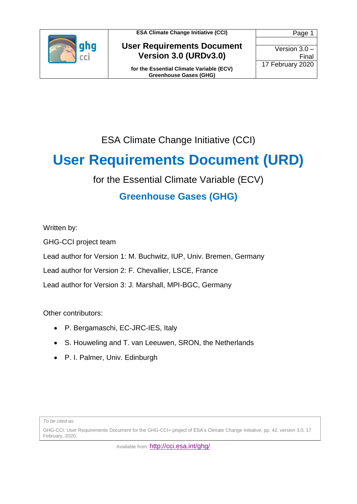

**User Requirements Document Version 3.0 (URDv3.0)**

**for the Essential Climate Variable (ECV) Greenhouse Gases (GHG)**

Page 1 Version 3.0 – Final 17 February 2020

ESA Climate Change Initiative (CCI)

## **User Requirements Document (URD)**

for the Essential Climate Variable (ECV)

### **Greenhouse Gases (GHG)**

Written by:

GHG-CCI project team

Lead author for Version 1: M. Buchwitz, IUP, Univ. Bremen, Germany

Lead author for Version 2: F. Chevallier, LSCE, France

Lead author for Version 3: J. Marshall, MPI-BGC, Germany

Other contributors:

- P. Bergamaschi, EC-JRC-IES, Italy
- S. Houweling and T. van Leeuwen, SRON, the Netherlands
- P. I. Palmer, Univ. Edinburgh

*To be cited as:*

GHG-CCI: User Requirements Document for the GHG-CCI+ project of ESA's Climate Change Initiative, pp. 42, version 3.0, 17 February, 2020.

Available from: <http://cci.esa.int/ghg/>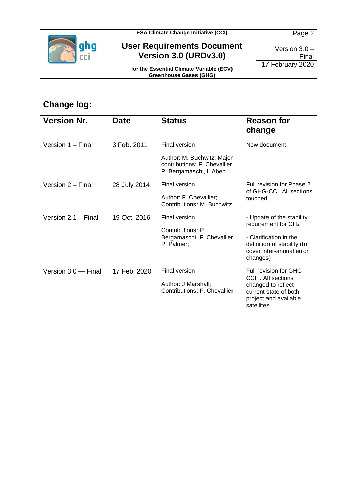

#### **User Requirements Document Version 3.0 (URDv3.0)**

**for the Essential Climate Variable (ECV) Greenhouse Gases (GHG)**

Page 2 Version 3.0 – Final 17 February 2020

### **Change log:**

| <b>Version Nr.</b>    | Date         | <b>Status</b>                                                                                           | <b>Reason for</b><br>change                                                                                                                                     |
|-----------------------|--------------|---------------------------------------------------------------------------------------------------------|-----------------------------------------------------------------------------------------------------------------------------------------------------------------|
| Version 1 - Final     | 3 Feb. 2011  | Final version<br>Author: M. Buchwitz; Major<br>contributions: F. Chevallier,<br>P. Bergamaschi, I. Aben | New document                                                                                                                                                    |
| Version 2 - Final     | 28 July 2014 | <b>Final version</b><br>Author: F. Chevallier;<br>Contributions: M. Buchwitz                            | Full revision for Phase 2<br>of GHG-CCI. All sections<br>touched.                                                                                               |
| Version $2.1 -$ Final | 19 Oct. 2016 | <b>Final version</b><br>Contributions: P.<br>Bergamaschi, F. Chevallier,<br>P. Palmer;                  | - Update of the stability<br>requirement for CH <sub>4</sub> ,<br>- Clarification in the<br>definition of stability (to<br>cover inter-annual error<br>changes) |
| Version 3.0 - Final   | 17 Feb. 2020 | <b>Final version</b><br>Author: J Marshall;<br>Contributions: F. Chevallier                             | Full revision for GHG-<br>CCI+. All sections<br>changed to reflect<br>current state of both<br>project and available<br>satellites.                             |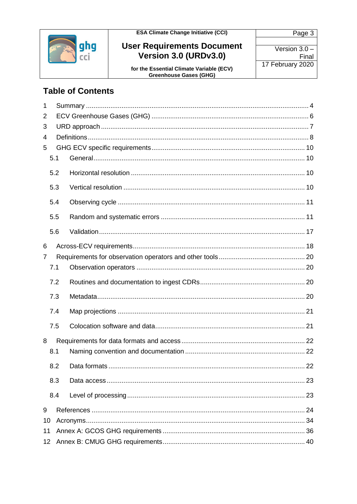

# User Requirements Document<br>Version 3.0 (URDv3.0)

for the Essential Climate Variable (ECV)<br>Greenhouse Gases (GHG)

Page 3 Version  $3.0 -$ Final 17 February 2020

### **Table of Contents**

| $\mathbf 1$ |     |  |
|-------------|-----|--|
| 2           |     |  |
| 3           |     |  |
| 4           |     |  |
| 5           |     |  |
|             | 5.1 |  |
|             | 5.2 |  |
|             | 5.3 |  |
|             | 5.4 |  |
|             | 5.5 |  |
|             | 5.6 |  |
| 6           |     |  |
| 7           |     |  |
|             | 7.1 |  |
|             | 7.2 |  |
|             |     |  |
|             | 7.3 |  |
|             | 7.4 |  |
|             | 7.5 |  |
| 8           |     |  |
|             | 8.1 |  |
|             | 8.2 |  |
|             | 8.3 |  |
|             | 8.4 |  |
| 9           |     |  |
| 10          |     |  |
| 11          |     |  |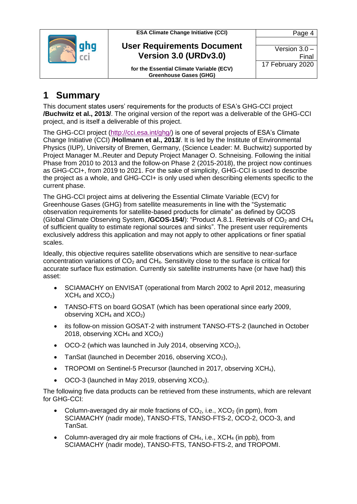

#### **User Requirements Document Version 3.0 (URDv3.0)**

**for the Essential Climate Variable (ECV) Greenhouse Gases (GHG)**

### <span id="page-3-0"></span>**1 Summary**

This document states users' requirements for the products of ESA's GHG-CCI project **/Buchwitz et al., 2013/**. The original version of the report was a deliverable of the GHG-CCI project, and is itself a deliverable of this project.

The GHG-CCI project [\(http://cci.esa.int/ghg/\)](http://cci.esa.int/ghg/) is one of several projects of ESA's Climate Change Initiative (CCI) **/Hollmann et al., 2013/**. It is led by the Institute of Environmental Physics (IUP), University of Bremen, Germany, (Science Leader: M. Buchwitz) supported by Project Manager M..Reuter and Deputy Project Manager O. Schneising. Following the initial Phase from 2010 to 2013 and the follow-on Phase 2 (2015-2018), the project now continues as GHG-CCI+, from 2019 to 2021. For the sake of simplicity, GHG-CCI is used to describe the project as a whole, and GHG-CCI+ is only used when describing elements specific to the current phase.

The GHG-CCI project aims at delivering the Essential Climate Variable (ECV) for Greenhouse Gases (GHG) from satellite measurements in line with the "Systematic observation requirements for satellite-based products for climate" as defined by GCOS (Global Climate Observing System, **/GCOS-154/**): "Product A.8.1. Retrievals of CO<sub>2</sub> and CH<sub>4</sub> of sufficient quality to estimate regional sources and sinks". The present user requirements exclusively address this application and may not apply to other applications or finer spatial scales.

Ideally, this objective requires satellite observations which are sensitive to near-surface concentration variations of  $CO<sub>2</sub>$  and  $CH<sub>4</sub>$ . Sensitivity close to the surface is critical for accurate surface flux estimation. Currently six satellite instruments have (or have had) this asset:

- SCIAMACHY on ENVISAT (operational from March 2002 to April 2012, measuring  $XCH<sub>4</sub>$  and  $XCO<sub>2</sub>$ )
- TANSO-FTS on board GOSAT (which has been operational since early 2009, observing  $XCH<sub>4</sub>$  and  $XCO<sub>2</sub>$ )
- its follow-on mission GOSAT-2 with instrument TANSO-FTS-2 (launched in October 2018, observing  $XCH<sub>4</sub>$  and  $XCO<sub>2</sub>$ )
- $\bullet$  OCO-2 (which was launched in July 2014, observing XCO<sub>2</sub>),
- TanSat (launched in December 2016, observing  $XCO<sub>2</sub>$ ),
- TROPOMI on Sentinel-5 Precursor (launched in 2017, observing XCH<sub>4</sub>),
- $\bullet$  OCO-3 (launched in May 2019, observing XCO<sub>2</sub>).

The following five data products can be retrieved from these instruments, which are relevant for GHG-CCI:

- Column-averaged dry air mole fractions of  $CO<sub>2</sub>$ , i.e.,  $XCO<sub>2</sub>$  (in ppm), from SCIAMACHY (nadir mode), TANSO-FTS, TANSO-FTS-2, OCO-2, OCO-3, and TanSat.
- Column-averaged dry air mole fractions of CH4, i.e., XCH<sup>4</sup> (in ppb), from SCIAMACHY (nadir mode), TANSO-FTS, TANSO-FTS-2, and TROPOMI.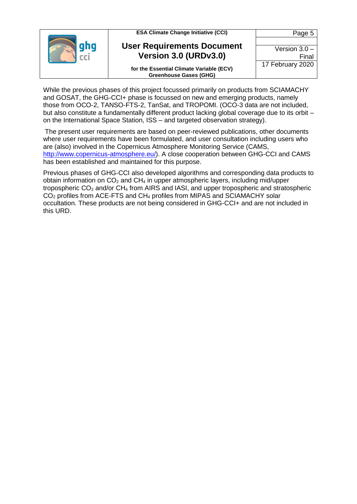| <b>ESA Climate Change Initiative (CCI)</b>                                | Page 5           |
|---------------------------------------------------------------------------|------------------|
| <b>User Requirements Document</b>                                         | Version $3.0 -$  |
| Version 3.0 (URDv3.0)                                                     | Final            |
| for the Essential Climate Variable (ECV)<br><b>Greenhouse Gases (GHG)</b> | 17 February 2020 |

While the previous phases of this project focussed primarily on products from SCIAMACHY and GOSAT, the GHG-CCI+ phase is focussed on new and emerging products, namely those from OCO-2, TANSO-FTS-2, TanSat, and TROPOMI. (OCO-3 data are not included, but also constitute a fundamentally different product lacking global coverage due to its orbit – on the International Space Station, ISS – and targeted observation strategy).

The present user requirements are based on peer-reviewed publications, other documents where user requirements have been formulated, and user consultation including users who are (also) involved in the Copernicus Atmosphere Monitoring Service (CAMS, [http://www.copernicus-atmosphere.eu/\)](http://www.copernicus-atmosphere.eu/). A close cooperation between GHG-CCI and CAMS has been established and maintained for this purpose.

Previous phases of GHG-CCI also developed algorithms and corresponding data products to obtain information on  $CO<sub>2</sub>$  and  $CH<sub>4</sub>$  in upper atmospheric layers, including mid/upper tropospheric  $CO<sub>2</sub>$  and/or  $CH<sub>4</sub>$  from AIRS and IASI, and upper tropospheric and stratospheric CO<sup>2</sup> profiles from ACE-FTS and CH<sup>4</sup> profiles from MIPAS and SCIAMACHY solar occultation. These products are not being considered in GHG-CCI+ and are not included in this URD.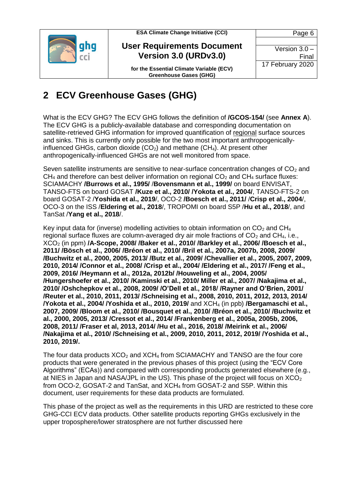

**User Requirements Document Version 3.0 (URDv3.0)**

Version 3.0 – Final 17 February 2020

Page 6

**for the Essential Climate Variable (ECV) Greenhouse Gases (GHG)**

### <span id="page-5-0"></span>**2 ECV Greenhouse Gases (GHG)**

What is the ECV GHG? The ECV GHG follows the definition of **/GCOS-154/** (see **Annex A**). The ECV GHG is a publicly-available database and corresponding documentation on satellite-retrieved GHG information for improved quantification of regional surface sources and sinks. This is currently only possible for the two most important anthropogenicallyinfluenced GHGs, carbon dioxide  $(CO<sub>2</sub>)$  and methane  $(CH<sub>4</sub>)$ . At present other anthropogenically-influenced GHGs are not well monitored from space.

Seven satellite instruments are sensitive to near-surface concentration changes of  $CO<sub>2</sub>$  and  $CH<sub>4</sub>$  and therefore can best deliver information on regional  $CO<sub>2</sub>$  and  $CH<sub>4</sub>$  surface fluxes: SCIAMACHY **/Burrows et al., 1995/** /**Bovensmann et al., 1999/** on board ENVISAT, TANSO-FTS on board GOSAT **/Kuze et al., 2010/ /Yokota et al., 2004/**, TANSO-FTS-2 on board GOSAT-2 /**Yoshida et al., 2019**/, OCO-2 **/Boesch et al., 2011/** /**Crisp et al., 2004**/, OCO-3 on the ISS /**Eldering et al., 2018**/, TROPOMI on board S5P /**Hu et al., 2018**/, and TanSat /**Yang et al., 2018**/.

Key input data for (inverse) modelling activities to obtain information on  $CO<sub>2</sub>$  and CH<sub>4</sub> regional surface fluxes are column-averaged dry air mole fractions of  $CO<sub>2</sub>$  and  $CH<sub>4</sub>$ , i.e., XCO<sup>2</sup> (in ppm) **/A-Scope, 2008/ /Baker et al., 2010/ /Barkley et al., 2006/ /Boesch et al., 2011/ /Bösch et al., 2006/ /Bréon et al., 2010/ /Bril et al., 2007a, 2007b, 2008, 2009/ /Buchwitz et al., 2000, 2005, 2013/ /Butz et al., 2009/ /Chevallier et al., 2005, 2007, 2009, 2010, 2014/ /Connor et al., 2008/ /Crisp et al., 2004/ /Eldering et al., 2017/ /Feng et al., 2009, 2016/ /Heymann et al., 2012a, 2012b/ /Houweling et al., 2004, 2005/ /Hungershoefer et al., 2010/ /Kaminski et al., 2010/ Miller et al., 2007/ /Nakajima et al., 2010/ /Oshchepkov et al., 2008, 2009/ /O'Dell et al., 2018/ /Rayner and O'Brien, 2001/ /Reuter et al., 2010, 2011, 2013/ /Schneising et al., 2008, 2010, 2011, 2012, 2013, 2014/ /Yokota et al., 2004/ /Yoshida et al., 2010, 2019/** and XCH<sup>4</sup> (in ppb) **/Bergamaschi et al., 2007, 2009/ /Bloom et al., 2010/ /Bousquet et al., 2010/ /Bréon et al., 2010/ /Buchwitz et al., 2000, 2005, 2013/ /Cressot et al., 2014/ /Frankenberg et al., 2005a, 2005b, 2006, 2008, 2011/ /Fraser et al, 2013, 2014/ /Hu et al., 2016, 2018/ /Meirink et al., 2006/ /Nakajima et al., 2010/ /Schneising et al., 2009, 2010, 2011, 2012, 2019/ /Yoshida et al., 2010, 2019/.**

The four data products  $XCO<sub>2</sub>$  and  $XCH<sub>4</sub>$  from SCIAMACHY and TANSO are the four core products that were generated in the previous phases of this project (using the "ECV Core Algorithms" (ECAs)) and compared with corresponding products generated elsewhere (e.g., at NIES in Japan and NASA/JPL in the US). This phase of the project will focus on  $XCO<sub>2</sub>$ from OCO-2, GOSAT-2 and TanSat, and XCH<sup>4</sup> from GOSAT-2 and S5P. Within this document, user requirements for these data products are formulated.

This phase of the project as well as the requirements in this URD are restricted to these core GHG-CCI ECV data products. Other satellite products reporting GHGs exclusively in the upper troposphere/lower stratosphere are not further discussed here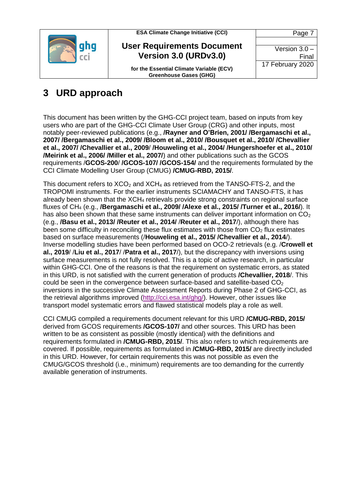

**User Requirements Document Version 3.0 (URDv3.0)**

Page 7 Version 3.0 – Final 17 February 2020

**for the Essential Climate Variable (ECV) Greenhouse Gases (GHG)**

### <span id="page-6-0"></span>**3 URD approach**

This document has been written by the GHG-CCI project team, based on inputs from key users who are part of the GHG-CCI Climate User Group (CRG) and other inputs, most notably peer-reviewed publications (e.g., **/Rayner and O'Brien, 2001/ /Bergamaschi et al., 2007/ /Bergamaschi et al., 2009/ /Bloom et al., 2010/ /Bousquet et al., 2010/ /Chevallier et al., 2007/ /Chevallier et al., 2009**/ **/Houweling et al., 2004/ /Hungershoefer et al., 2010/ /Meirink et al., 2006/ /Miller et al., 2007/**) and other publications such as the GCOS requirements /**GCOS-200**/ **/GCOS-107/ /GCOS-154/** and the requirements formulated by the CCI Climate Modelling User Group (CMUG) **/CMUG-RBD, 2015/**.

This document refers to  $XCO<sub>2</sub>$  and  $XCH<sub>4</sub>$  as retrieved from the TANSO-FTS-2, and the TROPOMI instruments. For the earlier instruments SCIAMACHY and TANSO-FTS, it has already been shown that the XCH<sub>4</sub> retrievals provide strong constraints on regional surface fluxes of CH<sup>4</sup> (e.g., **/Bergamaschi et al., 2009/ /Alexe et al., 2015/ /Turner et al., 2016/**). It has also been shown that these same instruments can deliver important information on  $CO<sub>2</sub>$ (e.g., **/Basu et al., 2013/ /Reuter et al., 2014/** /**Reuter et al., 2017**/), although there has been some difficulty in reconciling these flux estimates with those from  $CO<sub>2</sub>$  flux estimates based on surface measurements (/**Houweling et al., 2015/ /Chevallier et al., 2014**/). Inverse modelling studies have been performed based on OCO-2 retrievals (e.g. /**Crowell et al., 2019**/ /**Liu et al., 2017**/ /**Patra et al., 2017**/), but the discrepancy with inversions using surface measurements is not fully resolved. This is a topic of active research, in particular within GHG-CCI. One of the reasons is that the requirement on systematic errors, as stated in this URD, is not satisfied with the current generation of products **/Chevallier, 2018**/. This could be seen in the convergence between surface-based and satellite-based  $CO<sub>2</sub>$ inversions in the successive Climate Assessment Reports during Phase 2 of GHG-CCI, as the retrieval algorithms improved [\(http://cci.esa.int/ghg/\)](http://cci.esa.int/ghg/). However, other issues like transport model systematic errors and flawed statistical models play a role as well.

CCI CMUG compiled a requirements document relevant for this URD **/CMUG-RBD, 2015/** derived from GCOS requirements **/GCOS-107/** and other sources. This URD has been written to be as consistent as possible (mostly identical) with the definitions and requirements formulated in **/CMUG-RBD, 2015/**. This also refers to which requirements are covered. If possible, requirements as formulated in **/CMUG-RBD, 2015/** are directly included in this URD. However, for certain requirements this was not possible as even the CMUG/GCOS threshold (i.e., minimum) requirements are too demanding for the currently available generation of instruments.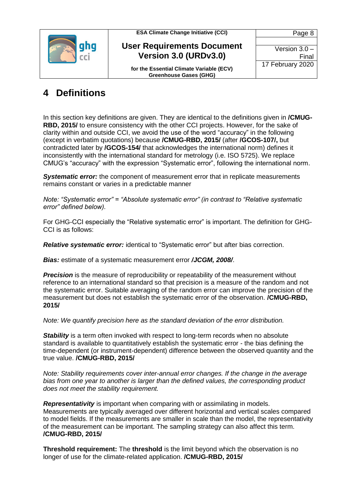

**User Requirements Document Version 3.0 (URDv3.0)**

**for the Essential Climate Variable (ECV) Greenhouse Gases (GHG)**

### <span id="page-7-0"></span>**4 Definitions**

In this section key definitions are given. They are identical to the definitions given in **/CMUG-RBD, 2015/** to ensure consistency with the other CCI projects. However, for the sake of clarity within and outside CCI, we avoid the use of the word "accuracy" in the following (except in verbatim quotations) because **/CMUG-RBD, 2015/** (after **/GCOS-107/,** but contradicted later by **/GCOS-154/** that acknowledges the international norm) defines it inconsistently with the international standard for metrology (i.e. ISO 5725). We replace CMUG's "accuracy" with the expression "Systematic error", following the international norm.

**Systematic error:** the component of measurement error that in replicate measurements remains constant or varies in a predictable manner

*Note: "Systematic error" = "Absolute systematic error" (in contrast to "Relative systematic error" defined below).*

For GHG-CCI especially the "Relative systematic error" is important. The definition for GHG-CCI is as follows:

*Relative systematic error:* identical to "Systematic error" but after bias correction.

*Bias:* estimate of a systematic measurement error */JCGM, 2008/*.

**Precision** is the measure of reproducibility or repeatability of the measurement without reference to an international standard so that precision is a measure of the random and not the systematic error. Suitable averaging of the random error can improve the precision of the measurement but does not establish the systematic error of the observation. **/CMUG-RBD, 2015/**

*Note: We quantify precision here as the standard deviation of the error distribution.*

**Stability** is a term often invoked with respect to long-term records when no absolute standard is available to quantitatively establish the systematic error - the bias defining the time-dependent (or instrument-dependent) difference between the observed quantity and the true value. **/CMUG-RBD, 2015/**

*Note: Stability requirements cover inter-annual error changes. If the change in the average bias from one year to another is larger than the defined values, the corresponding product does not meet the stability requirement.*

*Representativity* is important when comparing with or assimilating in models. Measurements are typically averaged over different horizontal and vertical scales compared to model fields. If the measurements are smaller in scale than the model, the representativity of the measurement can be important. The sampling strategy can also affect this term. **/CMUG-RBD, 2015/**

**Threshold requirement:** The **threshold** is the limit beyond which the observation is no longer of use for the climate-related application. **/CMUG-RBD, 2015/**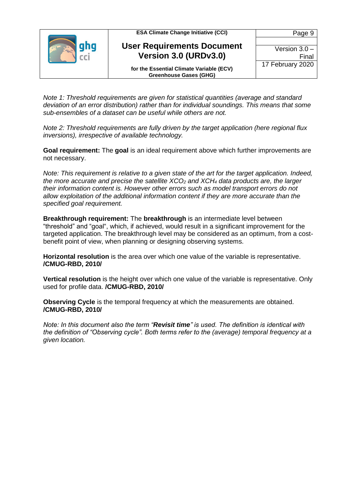| <b>ESA Climate Change Initiative (CCI)</b>                                | Page 9           |
|---------------------------------------------------------------------------|------------------|
| <b>User Requirements Document</b>                                         |                  |
|                                                                           | Version $3.0 -$  |
| Version 3.0 (URDv3.0)                                                     | Final            |
| for the Essential Climate Variable (ECV)<br><b>Greenhouse Gases (GHG)</b> | 17 February 2020 |

*Note 1: Threshold requirements are given for statistical quantities (average and standard deviation of an error distribution) rather than for individual soundings. This means that some sub-ensembles of a dataset can be useful while others are not.*

*Note 2: Threshold requirements are fully driven by the target application (here regional flux inversions), irrespective of available technology.*

**Goal requirement:** The **goal** is an ideal requirement above which further improvements are not necessary.

*Note: This requirement is relative to a given state of the art for the target application. Indeed, the more accurate and precise the satellite XCO<sup>2</sup> and XCH<sup>4</sup> data products are, the larger their information content is. However other errors such as model transport errors do not allow exploitation of the additional information content if they are more accurate than the specified goal requirement.*

**Breakthrough requirement:** The **breakthrough** is an intermediate level between "threshold" and "goal", which, if achieved, would result in a significant improvement for the targeted application. The breakthrough level may be considered as an optimum, from a costbenefit point of view, when planning or designing observing systems.

**Horizontal resolution** is the area over which one value of the variable is representative. **/CMUG-RBD, 2010/**

**Vertical resolution** is the height over which one value of the variable is representative. Only used for profile data. **/CMUG-RBD, 2010/**

**Observing Cycle** is the temporal frequency at which the measurements are obtained. **/CMUG-RBD, 2010/**

*Note: In this document also the term "Revisit time" is used. The definition is identical with the definition of "Observing cycle". Both terms refer to the (average) temporal frequency at a given location.*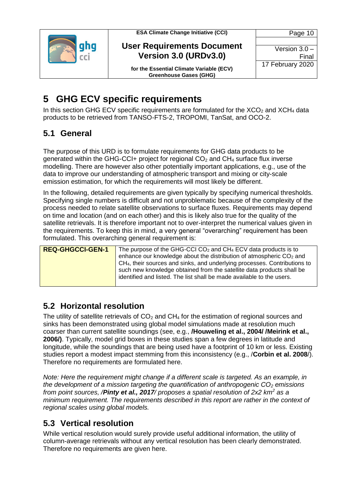



Page 10 Version 3.0 –

Final

17 February 2020

**for the Essential Climate Variable (ECV) Greenhouse Gases (GHG)**

### <span id="page-9-0"></span>**5 GHG ECV specific requirements**

In this section GHG ECV specific requirements are formulated for the  $XCO<sub>2</sub>$  and  $XCH<sub>4</sub>$  data products to be retrieved from TANSO-FTS-2, TROPOMI, TanSat, and OCO-2.

### <span id="page-9-1"></span>**5.1 General**

The purpose of this URD is to formulate requirements for GHG data products to be generated within the GHG-CCI+ project for regional  $CO<sub>2</sub>$  and  $CH<sub>4</sub>$  surface flux inverse modelling. There are however also other potentially important applications, e.g., use of the data to improve our understanding of atmospheric transport and mixing or city-scale emission estimation, for which the requirements will most likely be different.

In the following, detailed requirements are given typically by specifying numerical thresholds. Specifying single numbers is difficult and not unproblematic because of the complexity of the process needed to relate satellite observations to surface fluxes. Requirements may depend on time and location (and on each other) and this is likely also true for the quality of the satellite retrievals. It is therefore important not to over-interpret the numerical values given in the requirements. To keep this in mind, a very general "overarching" requirement has been formulated. This overarching general requirement is:

| <b>REQ-GHGCCI-GEN-1</b> | The purpose of the GHG-CCI $CO2$ and CH <sub>4</sub> ECV data products is to          |
|-------------------------|---------------------------------------------------------------------------------------|
|                         | enhance our knowledge about the distribution of atmospheric CO <sub>2</sub> and       |
|                         | CH <sub>4</sub> , their sources and sinks, and underlying processes. Contributions to |
|                         | such new knowledge obtained from the satellite data products shall be                 |
|                         | identified and listed. The list shall be made available to the users.                 |
|                         |                                                                                       |

### <span id="page-9-2"></span>**5.2 Horizontal resolution**

The utility of satellite retrievals of  $CO<sub>2</sub>$  and  $CH<sub>4</sub>$  for the estimation of regional sources and sinks has been demonstrated using global model simulations made at resolution much coarser than current satellite soundings (see, e.g., **/Houweling et al., 2004/ /Meirink et al., 2006/)**. Typically, model grid boxes in these studies span a few degrees in latitude and longitude, while the soundings that are being used have a footprint of 10 km or less. Existing studies report a modest impact stemming from this inconsistency (e.g., /**Corbin et al. 2008**/). Therefore no requirements are formulated here.

*Note: Here the requirement might change if a different scale is targeted. As an example, in the development of a mission targeting the quantification of anthropogenic CO<sup>2</sup> emissions from point sources, /Pinty et al., 2017/ proposes a spatial resolution of 2x2 km<sup>2</sup> as a minimum requirement. The requirements described in this report are rather in the context of regional scales using global models.* 

### <span id="page-9-3"></span>**5.3 Vertical resolution**

While vertical resolution would surely provide useful additional information, the utility of column-average retrievals without any vertical resolution has been clearly demonstrated. Therefore no requirements are given here.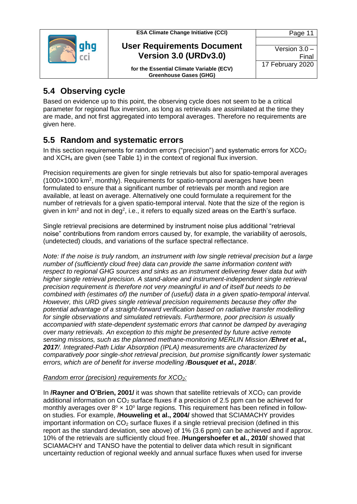

#### **User Requirements Document Version 3.0 (URDv3.0)**

**for the Essential Climate Variable (ECV) Greenhouse Gases (GHG)**

### <span id="page-10-0"></span>**5.4 Observing cycle**

Based on evidence up to this point, the observing cycle does not seem to be a critical parameter for regional flux inversion, as long as retrievals are assimilated at the time they are made, and not first aggregated into temporal averages. Therefore no requirements are given here.

### <span id="page-10-1"></span>**5.5 Random and systematic errors**

In this section requirements for random errors ("precision") and systematic errors for  $XCO<sub>2</sub>$ and XCH<sup>4</sup> are given (see [Table 1\)](#page-15-0) in the context of regional flux inversion.

Precision requirements are given for single retrievals but also for spatio-temporal averages (1000×1000 km<sup>2</sup> , monthly). Requirements for spatio-temporal averages have been formulated to ensure that a significant number of retrievals per month and region are available, at least on average. Alternatively one could formulate a requirement for the number of retrievals for a given spatio-temporal interval. Note that the size of the region is given in km<sup>2</sup> and not in deg<sup>2</sup>, i.e., it refers to equally sized areas on the Earth's surface.

Single retrieval precisions are determined by instrument noise plus additional "retrieval noise" contributions from random errors caused by, for example, the variability of aerosols, (undetected) clouds, and variations of the surface spectral reflectance.

*Note: If the noise is truly random, an instrument with low single retrieval precision but a large number of (sufficiently cloud free) data can provide the same information content with respect to regional GHG sources and sinks as an instrument delivering fewer data but with higher single retrieval precision. A stand-alone and instrument-independent single retrieval precision requirement is therefore not very meaningful in and of itself but needs to be combined with (estimates of) the number of (useful) data in a given spatio-temporal interval. However, this URD gives single retrieval precision requirements because they offer the potential advantage of a straight-forward verification based on radiative transfer modelling for single observations and simulated retrievals. Furthermore, poor precision is usually accompanied with state-dependent systematic errors that cannot be damped by averaging over many retrievals. An exception to this might be presented by future active remote sensing missions, such as the planned methane-monitoring MERLIN Mission /Ehret et al., 2017/. Integrated-Path Lidar Absorption (IPLA) measurements are characterized by comparatively poor single-shot retrieval precision, but promise significantly lower systematic errors, which are of benefit for inverse modelling /Bousquet et al., 2018/.*

### *Random error (precision) requirements for XCO2:*

In **/Rayner and O'Brien, 2001/** it was shown that satellite retrievals of XCO<sub>2</sub> can provide additional information on  $CO<sub>2</sub>$  surface fluxes if a precision of 2.5 ppm can be achieved for monthly averages over  $8^{\circ} \times 10^{\circ}$  large regions. This requirement has been refined in followon studies. For example, **/Houweling et al., 2004/** showed that SCIAMACHY provides important information on  $CO<sub>2</sub>$  surface fluxes if a single retrieval precision (defined in this report as the standard deviation, see above) of 1% (3.6 ppm) can be achieved and if approx. 10% of the retrievals are sufficiently cloud free. **/Hungershoefer et al., 2010/** showed that SCIAMACHY and TANSO have the potential to deliver data which result in significant uncertainty reduction of regional weekly and annual surface fluxes when used for inverse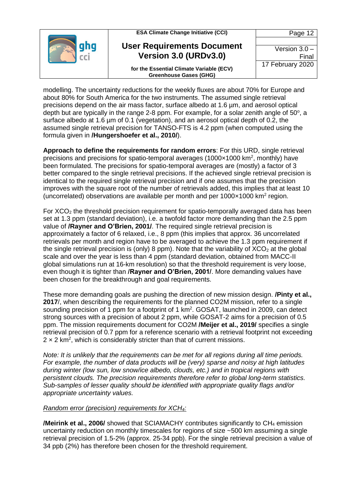| <b>ESA Climate Change Initiative (CCI)</b>                                | Page 12                  |
|---------------------------------------------------------------------------|--------------------------|
| <b>User Requirements Document</b><br>Version 3.0 (URDv3.0)                | Version $3.0 -$<br>Final |
| for the Essential Climate Variable (ECV)<br><b>Greenhouse Gases (GHG)</b> | 17 February 2020         |

modelling. The uncertainty reductions for the weekly fluxes are about 70% for Europe and about 80% for South America for the two instruments. The assumed single retrieval precisions depend on the air mass factor, surface albedo at 1.6 µm, and aerosol optical depth but are typically in the range 2-8 ppm. For example, for a solar zenith angle of  $50^{\circ}$ , a surface albedo at 1.6 µm of 0.1 (vegetation), and an aerosol optical depth of 0.2, the assumed single retrieval precision for TANSO-FTS is 4.2 ppm (when computed using the formula given in **/Hungershoefer et al., 2010/**).

**Approach to define the requirements for random errors**: For this URD, single retrieval precisions and precisions for spatio-temporal averages (1000 $\times$ 1000 km<sup>2</sup>, monthly) have been formulated. The precisions for spatio-temporal averages are (mostly) a factor of 3 better compared to the single retrieval precisions. If the achieved single retrieval precision is identical to the required single retrieval precision and if one assumes that the precision improves with the square root of the number of retrievals added, this implies that at least 10 (uncorrelated) observations are available per month and per  $1000 \times 1000$  km<sup>2</sup> region.

For  $XCO<sub>2</sub>$  the threshold precision requirement for spatio-temporally averaged data has been set at 1.3 ppm (standard deviation), i.e. a twofold factor more demanding than the 2.5 ppm value of **/Rayner and O'Brien, 2001/**. The required single retrieval precision is approximately a factor of 6 relaxed, i.e., 8 ppm (this implies that approx. 36 uncorrelated retrievals per month and region have to be averaged to achieve the 1.3 ppm requirement if the single retrieval precision is (only) 8 ppm). Note that the variability of  $XCO<sub>2</sub>$  at the global scale and over the year is less than 4 ppm (standard deviation, obtained from MACC-II global simulations run at 16-km resolution) so that the threshold requirement is very loose, even though it is tighter than **/Rayner and O'Brien, 2001/**. More demanding values have been chosen for the breakthrough and goal requirements.

These more demanding goals are pushing the direction of new mission design. **/Pinty et al., 2017**/, when describing the requirements for the planned CO2M mission, refer to a single sounding precision of 1 ppm for a footprint of 1  $km<sup>2</sup>$ . GOSAT, launched in 2009, can detect strong sources with a precision of about 2 ppm, while GOSAT-2 aims for a precision of 0.5 ppm. The mission requirements document for CO2M **/Meijer et al., 2019/** specifies a single retrieval precision of 0.7 ppm for a reference scenario with a retrieval footprint not exceeding  $2 \times 2$  km<sup>2</sup>, which is considerably stricter than that of current missions.

*Note: It is unlikely that the requirements can be met for all regions during all time periods. For example, the number of data products will be (very) sparse and noisy at high latitudes during winter (low sun, low snow/ice albedo, clouds, etc.) and in tropical regions with persistent clouds. The precision requirements therefore refer to global long-term statistics. Sub-samples of lesser quality should be identified with appropriate quality flags and/or appropriate uncertainty values.*

#### *Random error (precision) requirements for XCH4:*

**/Meirink et al., 2006/** showed that SCIAMACHY contributes significantly to CH<sub>4</sub> emission uncertainty reduction on monthly timescales for regions of size ~500 km assuming a single retrieval precision of 1.5-2% (approx. 25-34 ppb). For the single retrieval precision a value of 34 ppb (2%) has therefore been chosen for the threshold requirement.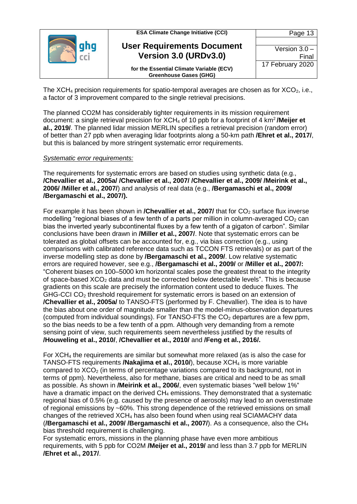| <b>ESA Climate Change Initiative (CCI)</b>                                | Page 13          |
|---------------------------------------------------------------------------|------------------|
| <b>User Requirements Document</b>                                         |                  |
|                                                                           | Version $3.0 -$  |
| Version 3.0 (URDv3.0)                                                     | Final            |
| for the Essential Climate Variable (ECV)<br><b>Greenhouse Gases (GHG)</b> | 17 February 2020 |

The XCH<sub>4</sub> precision requirements for spatio-temporal averages are chosen as for  $XCO<sub>2</sub>$ , i.e., a factor of 3 improvement compared to the single retrieval precisions.

The planned CO2M has considerably tighter requirements in its mission requirement document: a single retrieval precision for XCH<sub>4</sub> of 10 ppb for a footprint of 4 km<sup>2</sup>/Meijer et **al., 2019/**. The planned lidar mission MERLIN specifies a retrieval precision (random error) of better than 27 ppb when averaging lidar footprints along a 50-km path **/Ehret et al., 2017/**, but this is balanced by more stringent systematic error requirements.

#### *Systematic error requirements:*

The requirements for systematic errors are based on studies using synthetic data (e.g., **/Chevallier et al., 2005a/ /Chevallier et al., 2007/ /Chevallier et al., 2009/ /Meirink et al., 2006/ /Miller et al., 2007/**) and analysis of real data (e.g., **/Bergamaschi et al., 2009/ /Bergamaschi et al., 2007/).** 

For example it has been shown in **/Chevallier et al., 2007/** that for CO<sub>2</sub> surface flux inverse modelling "regional biases of a few tenth of a parts per million in column-averaged  $CO<sub>2</sub>$  can bias the inverted yearly subcontinental fluxes by a few tenth of a gigaton of carbon". Similar conclusions have been drawn in **/Miller et al., 2007/**. Note that systematic errors can be tolerated as global offsets can be accounted for, e.g., via bias correction (e.g., using comparisons with calibrated reference data such as TCCON FTS retrievals) or as part of the inverse modelling step as done by **/Bergamaschi et al., 2009/**. Low relative systematic errors are required however, see e.g., **/Bergamaschi et al., 2009/** or **/Miller et al., 2007/:** "Coherent biases on 100–5000 km horizontal scales pose the greatest threat to the integrity of space-based XCO<sub>2</sub> data and must be corrected below detectable levels". This is because gradients on this scale are precisely the information content used to deduce fluxes. The GHG-CCI CO<sup>2</sup> threshold requirement for systematic errors is based on an extension of **/Chevallier et al., 2005a/** to TANSO-FTS (performed by F. Chevallier). The idea is to have the bias about one order of magnitude smaller than the model-minus-observation departures (computed from individual soundings). For TANSO-FTS the  $CO<sub>2</sub>$  departures are a few ppm, so the bias needs to be a few tenth of a ppm. Although very demanding from a remote sensing point of view, such requirements seem nevertheless justified by the results of **/Houweling et al., 2010/**, **/Chevallier et al., 2010/** and **/Feng et al., 2016/.**

For  $XCH<sub>4</sub>$  the requirements are similar but somewhat more relaxed (as is also the case for TANSO-FTS requirements **/Nakajima et al., 2010/**), because XCH<sup>4</sup> is more variable compared to  $XCO<sub>2</sub>$  (in terms of percentage variations compared to its background, not in terms of ppm). Nevertheless, also for methane, biases are critical and need to be as small as possible. As shown in **/Meirink et al., 2006/**, even systematic biases "well below 1%" have a dramatic impact on the derived  $CH<sub>4</sub>$  emissions. They demonstrated that a systematic regional bias of 0.5% (e.g. caused by the presence of aerosols) may lead to an overestimate of regional emissions by ~60%. This strong dependence of the retrieved emissions on small changes of the retrieved XCH<sup>4</sup> has also been found when using real SCIAMACHY data (**/Bergamaschi et al., 2009/ /Bergamaschi et al., 2007/**). As a consequence, also the CH<sup>4</sup> bias threshold requirement is challenging.

For systematic errors, missions in the planning phase have even more ambitious requirements, with 5 ppb for CO2M **/Meijer et al., 2019/** and less than 3.7 ppb for MERLIN **/Ehret et al., 2017/**.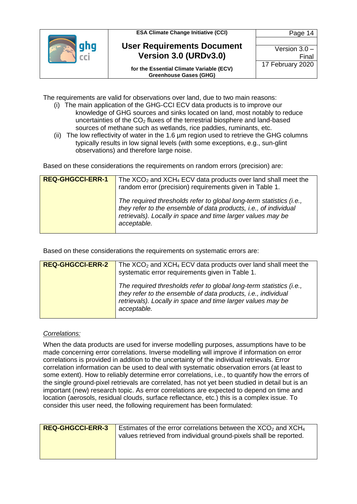



**for the Essential Climate Variable (ECV) Greenhouse Gases (GHG)**

The requirements are valid for observations over land, due to two main reasons:

- (i) The main application of the GHG-CCI ECV data products is to improve our knowledge of GHG sources and sinks located on land, most notably to reduce uncertainties of the  $CO<sub>2</sub>$  fluxes of the terrestrial biosphere and land-based sources of methane such as wetlands, rice paddies, ruminants, etc.
- (ii) The low reflectivity of water in the 1.6 µm region used to retrieve the GHG columns typically results in low signal levels (with some exceptions, e.g., sun-glint observations) and therefore large noise.

Based on these considerations the requirements on random errors (precision) are:

| <b>REQ-GHGCCI-ERR-1</b> | The $XCO2$ and $XCH4$ ECV data products over land shall meet the<br>random error (precision) requirements given in Table 1.                                                                                           |
|-------------------------|-----------------------------------------------------------------------------------------------------------------------------------------------------------------------------------------------------------------------|
|                         | The required thresholds refer to global long-term statistics (i.e.,<br>they refer to the ensemble of data products, i.e., of individual<br>retrievals). Locally in space and time larger values may be<br>acceptable. |

Based on these considerations the requirements on systematic errors are:

| <b>REQ-GHGCCI-ERR-2</b> | The $XCO2$ and $XCH4$ ECV data products over land shall meet the<br>systematic error requirements given in Table 1.                                                                                                |
|-------------------------|--------------------------------------------------------------------------------------------------------------------------------------------------------------------------------------------------------------------|
|                         | The required thresholds refer to global long-term statistics (i.e.,<br>they refer to the ensemble of data products, i.e., individual<br>retrievals). Locally in space and time larger values may be<br>acceptable. |

#### *Correlations:*

When the data products are used for inverse modelling purposes, assumptions have to be made concerning error correlations. Inverse modelling will improve if information on error correlations is provided in addition to the uncertainty of the individual retrievals. Error correlation information can be used to deal with systematic observation errors (at least to some extent). How to reliably determine error correlations, i.e., to quantify how the errors of the single ground-pixel retrievals are correlated, has not yet been studied in detail but is an important (new) research topic. As error correlations are expected to depend on time and location (aerosols, residual clouds, surface reflectance, etc.) this is a complex issue. To consider this user need, the following requirement has been formulated:

| <b>REQ-GHGCCI-ERR-3</b> | Estimates of the error correlations between the $XCO2$ and $XCH4$<br>values retrieved from individual ground-pixels shall be reported. |
|-------------------------|----------------------------------------------------------------------------------------------------------------------------------------|
|                         |                                                                                                                                        |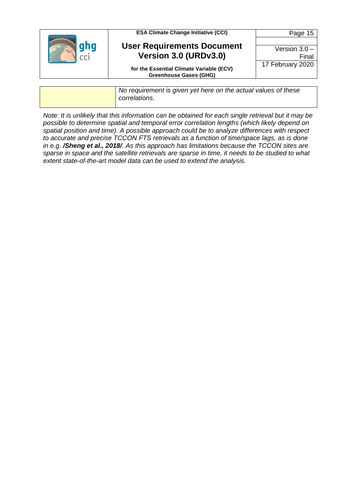| <b>ESA Climate Change Initiative (CCI)</b>                                | Page 15          |
|---------------------------------------------------------------------------|------------------|
|                                                                           |                  |
| <b>User Requirements Document</b>                                         | Version $3.0 -$  |
| Version 3.0 (URDv3.0)                                                     | Final            |
| for the Essential Climate Variable (ECV)<br><b>Greenhouse Gases (GHG)</b> | 17 February 2020 |

*No requirement is given yet here on the actual values of these correlations*.

*Note: It is unlikely that this information can be obtained for each single retrieval but it may be possible to determine spatial and temporal error correlation lengths (which likely depend on spatial position and time). A possible approach could be to analyze differences with respect to accurate and precise TCCON FTS retrievals as a function of time/space lags, as is done in e.g. /Sheng et al., 2018/. As this approach has limitations because the TCCON sites are sparse in space and the satellite retrievals are sparse in time, it needs to be studied to what extent state-of-the-art model data can be used to extend the analysis.*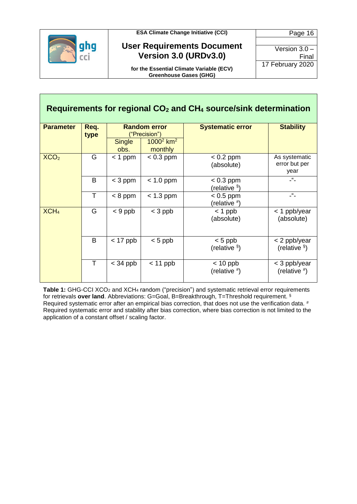

#### **User Requirements Document Version 3.0 (URDv3.0)**

Page 16 Version 3.0 –  $\mathbf{I}$ 17 February 2020

**for the Essential Climate Variable (ECV) Greenhouse Gases (GHG)**

| Version 3.0 -    |      |
|------------------|------|
|                  | Fina |
| 17 February 2020 |      |

**Requirements for regional CO<sup>2</sup> and CH<sup>4</sup> source/sink determination Parameter Req. type Random error** ("Precision") **Systematic error Stability Single** obs.  $1000^2$  km<sup>2</sup> monthly  $XCO<sub>2</sub>$  G < 1 ppm < 0.3 ppm < 0.2 ppm (absolute) As systematic error but per year B < 3 ppm < 1.0 ppm < 0.3 ppm (relative § )  $-$ " $T \mid$  < 8 ppm  $\mid$  < 1.3 ppm  $\mid$  < 0.5 ppm (relative # )  $-$ "  $\overline{XCH_4}$  G  $\left| \begin{array}{c} 6 \end{array} \right|$   $\left| \begin{array}{c} 3 \text{ ppb} \end{array} \right|$   $\left| \begin{array}{c} 3 \text{ ppb} \end{array} \right|$   $\left| \begin{array}{c} 1 \text{ ppb} \end{array} \right|$ (absolute) < 1 ppb/year (absolute) B < 17 ppb < 5 ppb < 5 ppb (relative § ) < 2 ppb/year (relative § )  $T \mid$  < 34 ppb  $\mid$  < 11 ppb  $\mid$  < 10 ppb (relative # ) < 3 ppb/year (relative # )

<span id="page-15-0"></span>Table 1: GHG-CCI XCO<sub>2</sub> and XCH<sub>4</sub> random ("precision") and systematic retrieval error requirements for retrievals **over land**. Abbreviations: G=Goal, B=Breakthrough, T=Threshold requirement. § Required systematic error after an empirical bias correction, that does not use the verification data. # Required systematic error and stability after bias correction, where bias correction is not limited to the application of a constant offset / scaling factor.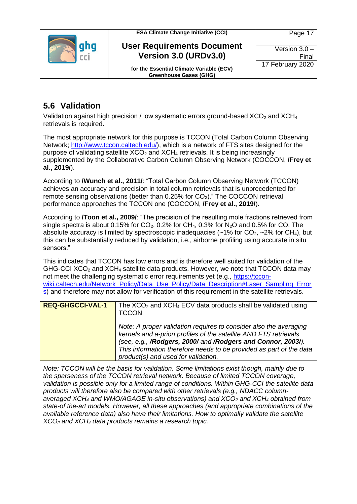



**for the Essential Climate Variable (ECV) Greenhouse Gases (GHG)**

### <span id="page-16-0"></span>**5.6 Validation**

Validation against high precision / low systematic errors ground-based  $XCO<sub>2</sub>$  and  $XCH<sub>4</sub>$ retrievals is required.

The most appropriate network for this purpose is TCCON (Total Carbon Column Observing Network; [http://www.tccon.caltech.edu/\)](http://www.tccon.caltech.edu/), which is a network of FTS sites designed for the purpose of validating satellite  $XCO<sub>2</sub>$  and  $XCH<sub>4</sub>$  retrievals. It is being increasingly supplemented by the Collaborative Carbon Column Observing Network (COCCON, **/Frey et al., 2019/**).

According to **/Wunch et al., 2011/**: "Total Carbon Column Observing Network (TCCON) achieves an accuracy and precision in total column retrievals that is unprecedented for remote sensing observations (better than 0.25% for CO2)." The COCCON retrieval performance approaches the TCCON one (COCCON, **/Frey et al., 2019/**).

According to **/Toon et al., 2009/**: "The precision of the resulting mole fractions retrieved from single spectra is about 0.15% for  $CO<sub>2</sub>$ , 0.2% for CH<sub>4</sub>, 0.3% for N<sub>2</sub>O and 0.5% for CO. The absolute accuracy is limited by spectroscopic inadequacies ( $\sim$ 1% for CO<sub>2</sub>,  $\sim$ 2% for CH<sub>4</sub>), but this can be substantially reduced by validation, i.e., airborne profiling using accurate in situ sensors."

This indicates that TCCON has low errors and is therefore well suited for validation of the GHG-CCI  $XCO<sub>2</sub>$  and  $XCH<sub>4</sub>$  satellite data products. However, we note that TCCON data may not meet the challenging systematic error requirements yet (e.g., [https://tccon](https://tccon-wiki.caltech.edu/Network_Policy/Data_Use_Policy/Data_Description#Laser_Sampling_Errors)[wiki.caltech.edu/Network\\_Policy/Data\\_Use\\_Policy/Data\\_Description#Laser\\_Sampling\\_Error](https://tccon-wiki.caltech.edu/Network_Policy/Data_Use_Policy/Data_Description#Laser_Sampling_Errors) [s\)](https://tccon-wiki.caltech.edu/Network_Policy/Data_Use_Policy/Data_Description#Laser_Sampling_Errors) and therefore may not allow for verification of this requirement in the satellite retrievals.

| <b>REQ-GHGCCI-VAL-1</b> | The $XCO2$ and $XCH4$ ECV data products shall be validated using<br>TCCON.                                                                                                                                                                                                                                           |
|-------------------------|----------------------------------------------------------------------------------------------------------------------------------------------------------------------------------------------------------------------------------------------------------------------------------------------------------------------|
|                         | Note: A proper validation requires to consider also the averaging<br>kernels and a-priori profiles of the satellite AND FTS retrievals<br>(see, e.g., /Rodgers, 2000/ and /Rodgers and Connor, 2003/).<br>This information therefore needs to be provided as part of the data<br>product(s) and used for validation. |

*Note: TCCON will be the basis for validation. Some limitations exist though, mainly due to the sparseness of the TCCON retrieval network. Because of limited TCCON coverage, validation is possible only for a limited range of conditions. Within GHG-CCI the satellite data products will therefore also be compared with other retrievals (e.g., NDACC columnaveraged XCH<sup>4</sup> and WMO/AGAGE in-situ observations) and XCO<sup>2</sup> and XCH<sup>4</sup> obtained from state-of the-art models. However, all these approaches (and appropriate combinations of the available reference data) also have their limitations. How to optimally validate the satellite XCO<sup>2</sup> and XCH<sup>4</sup> data products remains a research topic.*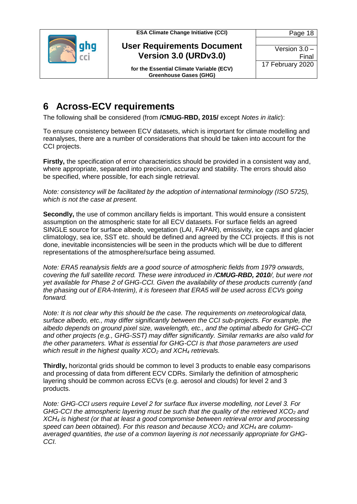

**User Requirements Document Version 3.0 (URDv3.0)**

Version 3.0 – Final 17 February 2020

Page 18

**for the Essential Climate Variable (ECV) Greenhouse Gases (GHG)**

### <span id="page-17-0"></span>**6 Across-ECV requirements**

The following shall be considered (from **/CMUG-RBD, 2015/** except *Notes in italic*):

To ensure consistency between ECV datasets, which is important for climate modelling and reanalyses, there are a number of considerations that should be taken into account for the CCI projects.

**Firstly,** the specification of error characteristics should be provided in a consistent way and, where appropriate, separated into precision, accuracy and stability. The errors should also be specified, where possible, for each single retrieval.

*Note: consistency will be facilitated by the adoption of international terminology (ISO 5725), which is not the case at present.*

**Secondly,** the use of common ancillary fields is important. This would ensure a consistent assumption on the atmospheric state for all ECV datasets. For surface fields an agreed SINGLE source for surface albedo, vegetation (LAI, FAPAR), emissivity, ice caps and glacier climatology, sea ice, SST etc. should be defined and agreed by the CCI projects. If this is not done, inevitable inconsistencies will be seen in the products which will be due to different representations of the atmosphere/surface being assumed.

*Note: ERA5 reanalysis fields are a good source of atmospheric fields from 1979 onwards, covering the full satellite record. These were introduced in /CMUG-RBD, 2010/, but were not yet available for Phase 2 of GHG-CCI. Given the availability of these products currently (and the phasing out of ERA-Interim), it is foreseen that ERA5 will be used across ECVs going forward.*

*Note: It is not clear why this should be the case. The requirements on meteorological data, surface albedo, etc., may differ significantly between the CCI sub-projects. For example, the albedo depends on ground pixel size, wavelength, etc., and the optimal albedo for GHG-CCI and other projects (e.g., GHG-SST) may differ significantly. Similar remarks are also valid for the other parameters. What is essential for GHG-CCI is that those parameters are used which result in the highest quality XCO<sup>2</sup> and XCH<sup>4</sup> retrievals.*

**Thirdly,** horizontal grids should be common to level 3 products to enable easy comparisons and processing of data from different ECV CDRs. Similarly the definition of atmospheric layering should be common across ECVs (e.g. aerosol and clouds) for level 2 and 3 products.

*Note: GHG-CCI users require Level 2 for surface flux inverse modelling, not Level 3. For GHG-CCI the atmospheric layering must be such that the quality of the retrieved XCO<sup>2</sup> and XCH<sup>4</sup> is highest (or that at least a good compromise between retrieval error and processing speed can been obtained). For this reason and because XCO<sup>2</sup> and XCH<sup>4</sup> are columnaveraged quantities, the use of a common layering is not necessarily appropriate for GHG-CCI.*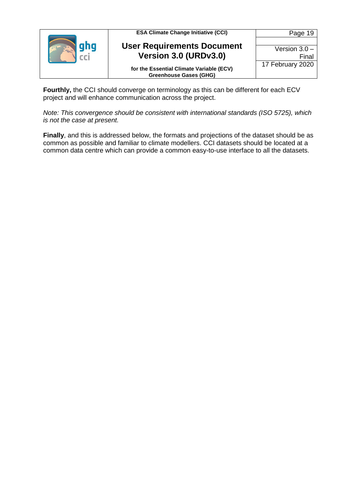| <b>ESA Climate Change Initiative (CCI)</b>                                | Page 19          |
|---------------------------------------------------------------------------|------------------|
|                                                                           |                  |
| <b>User Requirements Document</b>                                         | Version $3.0 -$  |
| Version 3.0 (URDv3.0)                                                     | Final            |
| for the Essential Climate Variable (ECV)<br><b>Greenhouse Gases (GHG)</b> | 17 February 2020 |

**Fourthly,** the CCI should converge on terminology as this can be different for each ECV project and will enhance communication across the project.

*Note: This convergence should be consistent with international standards (ISO 5725), which is not the case at present.*

**Finally**, and this is addressed below, the formats and projections of the dataset should be as common as possible and familiar to climate modellers. CCI datasets should be located at a common data centre which can provide a common easy-to-use interface to all the datasets.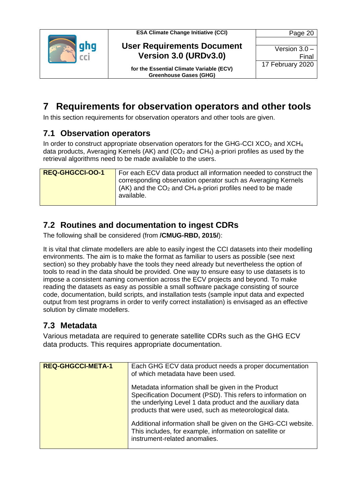



Version 3.0 – Final 17 February 2020

Page 20

**for the Essential Climate Variable (ECV) Greenhouse Gases (GHG)**

<span id="page-19-0"></span>**7 Requirements for observation operators and other tools**

In this section requirements for observation operators and other tools are given.

### <span id="page-19-1"></span>**7.1 Observation operators**

In order to construct appropriate observation operators for the GHG-CCI  $XCO<sub>2</sub>$  and  $XCH<sub>4</sub>$ data products, Averaging Kernels (AK) and ( $CO<sub>2</sub>$  and  $CH<sub>4</sub>$ ) a-priori profiles as used by the retrieval algorithms need to be made available to the users.

| <b>REQ-GHGCCI-00-1</b> | For each ECV data product all information needed to construct the                    |
|------------------------|--------------------------------------------------------------------------------------|
|                        | corresponding observation operator such as Averaging Kernels                         |
|                        | $(AK)$ and the CO <sub>2</sub> and CH <sub>4</sub> a-priori profiles need to be made |
|                        | available.                                                                           |
|                        |                                                                                      |

### <span id="page-19-2"></span>**7.2 Routines and documentation to ingest CDRs**

The following shall be considered (from **/CMUG-RBD, 2015/**):

It is vital that climate modellers are able to easily ingest the CCI datasets into their modelling environments. The aim is to make the format as familiar to users as possible (see next section) so they probably have the tools they need already but nevertheless the option of tools to read in the data should be provided. One way to ensure easy to use datasets is to impose a consistent naming convention across the ECV projects and beyond. To make reading the datasets as easy as possible a small software package consisting of source code, documentation, build scripts, and installation tests (sample input data and expected output from test programs in order to verify correct installation) is envisaged as an effective solution by climate modellers.

### <span id="page-19-3"></span>**7.3 Metadata**

Various metadata are required to generate satellite CDRs such as the GHG ECV data products. This requires appropriate documentation.

| <b>REQ-GHGCCI-META-1</b> | Each GHG ECV data product needs a proper documentation<br>of which metadata have been used.                                                                                                                                              |
|--------------------------|------------------------------------------------------------------------------------------------------------------------------------------------------------------------------------------------------------------------------------------|
|                          | Metadata information shall be given in the Product<br>Specification Document (PSD). This refers to information on<br>the underlying Level 1 data product and the auxiliary data<br>products that were used, such as meteorological data. |
|                          | Additional information shall be given on the GHG-CCI website.<br>This includes, for example, information on satellite or<br>instrument-related anomalies.                                                                                |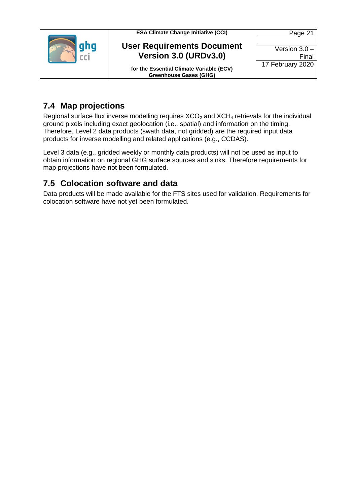



Page 21 Version 3.0 – Final 17 February 2020

**for the Essential Climate Variable (ECV) Greenhouse Gases (GHG)**

### <span id="page-20-0"></span>**7.4 Map projections**

Regional surface flux inverse modelling requires  $XCO<sub>2</sub>$  and  $XCH<sub>4</sub>$  retrievals for the individual ground pixels including exact geolocation (i.e., spatial) and information on the timing. Therefore, Level 2 data products (swath data, not gridded) are the required input data products for inverse modelling and related applications (e.g., CCDAS).

Level 3 data (e.g., gridded weekly or monthly data products) will not be used as input to obtain information on regional GHG surface sources and sinks. Therefore requirements for map projections have not been formulated.

### <span id="page-20-1"></span>**7.5 Colocation software and data**

Data products will be made available for the FTS sites used for validation. Requirements for colocation software have not yet been formulated.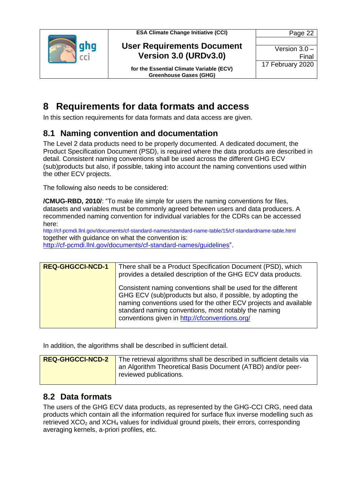



Version 3.0 – Final 17 February 2020

Page 22

**for the Essential Climate Variable (ECV) Greenhouse Gases (GHG)**

### <span id="page-21-0"></span>**8 Requirements for data formats and access**

In this section requirements for data formats and data access are given.

### <span id="page-21-1"></span>**8.1 Naming convention and documentation**

The Level 2 data products need to be properly documented. A dedicated document, the Product Specification Document (PSD), is required where the data products are described in detail. Consistent naming conventions shall be used across the different GHG ECV (sub)products but also, if possible, taking into account the naming conventions used within the other ECV projects.

The following also needs to be considered:

**/CMUG-RBD, 2010/**: "To make life simple for users the naming conventions for files, datasets and variables must be commonly agreed between users and data producers. A recommended naming convention for individual variables for the CDRs can be accessed here:

http://cf-pcmdi.llnl.gov/documents/cf-standard-names/standard-name-table/15/cf-standardname-table.html together with guidance on what the convention is: [http://cf-pcmdi.llnl.gov/documents/cf-standard-names/guidelines"](http://cf-pcmdi.llnl.gov/documents/cf-standard-names/guidelines).

| <b>REQ-GHGCCI-NCD-1</b> | There shall be a Product Specification Document (PSD), which<br>provides a detailed description of the GHG ECV data products.                                                                                                                                                                               |
|-------------------------|-------------------------------------------------------------------------------------------------------------------------------------------------------------------------------------------------------------------------------------------------------------------------------------------------------------|
|                         | Consistent naming conventions shall be used for the different<br>GHG ECV (sub)products but also, if possible, by adopting the<br>naming conventions used for the other ECV projects and available<br>standard naming conventions, most notably the naming<br>conventions given in http://cfconventions.org/ |

In addition, the algorithms shall be described in sufficient detail.

| <b>REQ-GHGCCI-NCD-2</b> | The retrieval algorithms shall be described in sufficient details via                 |
|-------------------------|---------------------------------------------------------------------------------------|
|                         | an Algorithm Theoretical Basis Document (ATBD) and/or peer-<br>reviewed publications. |
|                         |                                                                                       |

### <span id="page-21-2"></span>**8.2 Data formats**

The users of the GHG ECV data products, as represented by the GHG-CCI CRG, need data products which contain all the information required for surface flux inverse modelling such as retrieved  $XCO<sub>2</sub>$  and  $XCH<sub>4</sub>$  values for individual ground pixels, their errors, corresponding averaging kernels, a-priori profiles, etc.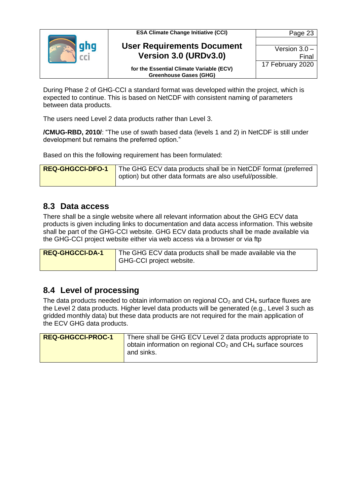

Version 3.0 – Final 17 February 2020

Page 23

**for the Essential Climate Variable (ECV) Greenhouse Gases (GHG)**

During Phase 2 of GHG-CCI a standard format was developed within the project, which is expected to continue. This is based on NetCDF with consistent naming of parameters between data products.

The users need Level 2 data products rather than Level 3.

**/CMUG-RBD, 2010/**: "The use of swath based data (levels 1 and 2) in NetCDF is still under development but remains the preferred option."

Based on this the following requirement has been formulated:

| <b>REQ-GHGCCI-DFO-1</b> | $\blacksquare$ The GHG ECV data products shall be in NetCDF format (preferred |
|-------------------------|-------------------------------------------------------------------------------|
|                         | option) but other data formats are also useful/possible.                      |

#### <span id="page-22-0"></span>**8.3 Data access**

There shall be a single website where all relevant information about the GHG ECV data products is given including links to documentation and data access information. This website shall be part of the GHG-CCI website. GHG ECV data products shall be made available via the GHG-CCI project website either via web access via a browser or via ftp

| <b>REQ-GHGCCI-DA-1</b> | The GHG ECV data products shall be made available via the |
|------------------------|-----------------------------------------------------------|
|                        | GHG-CCI project website.                                  |

### <span id="page-22-1"></span>**8.4 Level of processing**

The data products needed to obtain information on regional  $CO<sub>2</sub>$  and  $CH<sub>4</sub>$  surface fluxes are the Level 2 data products. Higher level data products will be generated (e.g., Level 3 such as gridded monthly data) but these data products are not required for the main application of the ECV GHG data products.

| <b>REQ-GHGCCI-PROC-1</b> | There shall be GHG ECV Level 2 data products appropriate to                  |
|--------------------------|------------------------------------------------------------------------------|
|                          | obtain information on regional $CO2$ and $CH4$ surface sources<br>and sinks. |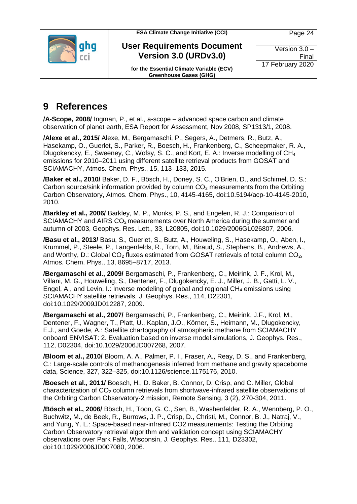

**User Requirements Document Version 3.0 (URDv3.0)**

**for the Essential Climate Variable (ECV) Greenhouse Gases (GHG)**

Version 3.0 – Final 17 February 2020

### <span id="page-23-0"></span>**9 References**

**/A-Scope, 2008/** Ingman, P., et al., a-scope – advanced space carbon and climate observation of planet earth, ESA Report for Assessment, Nov 2008, SP1313/1, 2008.

**/Alexe et al., 2015/** Alexe, M., Bergamaschi, P., Segers, A., Detmers, R., Butz, A., Hasekamp, O., Guerlet, S., Parker, R., Boesch, H., Frankenberg, C., Scheepmaker, R. A., Dlugokencky, E., Sweeney, C., Wofsy, S. C., and Kort, E. A.: Inverse modelling of CH<sup>4</sup> emissions for 2010–2011 using different satellite retrieval products from GOSAT and SCIAMACHY, Atmos. Chem. Phys., 15, 113–133, 2015.

**/Baker et al., 2010/** Baker, D. F., Bösch, H., Doney, S. C., O'Brien, D., and Schimel, D. S.: Carbon source/sink information provided by column  $CO<sub>2</sub>$  measurements from the Orbiting Carbon Observatory, Atmos. Chem. Phys., 10, 4145-4165, doi:10.5194/acp-10-4145-2010, 2010.

**/Barkley et al., 2006/** Barkley, M. P., Monks, P. S., and Engelen, R. J.: Comparison of SCIAMACHY and AIRS  $CO<sub>2</sub>$  measurements over North America during the summer and autumn of 2003, Geophys. Res. Lett., 33, L20805, doi:10.1029/2006GL026807, 2006.

**/Basu et al., 2013/** Basu, S., Guerlet, S., Butz, A., Houweling, S., Hasekamp, O., Aben, I., Krummel, P., Steele, P., Langenfelds, R., Torn, M., Biraud, S., Stephens, B., Andrews, A., and Worthy, D.: Global  $CO<sub>2</sub>$  fluxes estimated from GOSAT retrievals of total column  $CO<sub>2</sub>$ , Atmos. Chem. Phys., 13, 8695–8717, 2013.

**/Bergamaschi et al., 2009/** Bergamaschi, P., Frankenberg, C., Meirink, J. F., Krol, M., Villani, M. G., Houweling, S., Dentener, F., Dlugokencky, E. J., Miller, J. B., Gatti, L. V., Engel, A., and Levin, I.: Inverse modeling of global and regional  $CH_4$  emissions using SCIAMACHY satellite retrievals, J. Geophys. Res., 114, D22301, doi:10.1029/2009JD012287, 2009.

**/Bergamaschi et al., 2007/** Bergamaschi, P., Frankenberg, C., Meirink, J.F., Krol, M., Dentener, F., Wagner, T., Platt, U., Kaplan, J.O., Körner, S., Heimann, M., Dlugokencky, E.J., and Goede, A.: Satellite chartography of atmospheric methane from SCIAMACHY onboard ENVISAT: 2. Evaluation based on inverse model simulations, J. Geophys. Res., 112, D02304, doi:10.1029/2006JD007268, 2007.

**/Bloom et al., 2010/** Bloom, A. A., Palmer, P. I., Fraser, A., Reay, D. S., and Frankenberg, C.: Large-scale controls of methanogenesis inferred from methane and gravity spaceborne data, Science, 327, 322–325, doi:10.1126/science.1175176, 2010.

**/Boesch et al., 2011/** Boesch, H., D. Baker, B. Connor, D. Crisp, and C. Miller, Global characterization of  $CO<sub>2</sub>$  column retrievals from shortwave-infrared satellite observations of the Orbiting Carbon Observatory-2 mission, Remote Sensing, 3 (2), 270-304, 2011.

**/Bösch et al., 2006/** Bösch, H., Toon, G. C., Sen, B., Washenfelder, R. A., Wennberg, P. O., Buchwitz, M., de Beek, R., Burrows, J. P., Crisp, D., Christi, M., Connor, B. J., Natraj, V., and Yung, Y. L.: Space-based near-infrared CO2 measurements: Testing the Orbiting Carbon Observatory retrieval algorithm and validation concept using SCIAMACHY observations over Park Falls, Wisconsin, J. Geophys. Res., 111, D23302, doi:10.1029/2006JD007080, 2006.

Page 24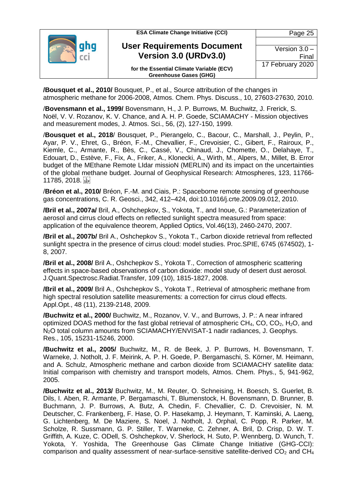

**/Bousquet et al., 2010/** Bousquet, P., et al., Source attribution of the changes in atmospheric methane for 2006-2008, Atmos. Chem. Phys. Discuss., 10, 27603-27630, 2010.

/**Bovensmann et al., 1999/** Bovensmann, H., J. P. Burrows, M. Buchwitz, J. Frerick, S. Noël, V. V. Rozanov, K. V. Chance, and A. H. P. Goede, SCIAMACHY - Mission objectives and measurement modes, J. Atmos. Sci., 56, (2), 127-150, 1999.

/**Bousquet et al., 2018**/ Bousquet, P., Pierangelo, C., Bacour, C., Marshall, J., Peylin, P., Ayar, P. V., Ehret, G., Bréon, F.-M., Chevallier, F., Crevoisier, C., Gibert, F., Rairoux, P., Kiemle, C., Armante, R., Bès, C., Cassé, V., Chinaud, J., Chomette, O., Delahaye, T., Edouart, D., Estève, F., Fix, A., Friker, A., Klonecki, A., Wirth, M., Alpers, M., Millet, B. Error budget of the MEthane Remote LIdar missioN (MERLIN) and its impact on the uncertainties of the global methane budget. Journal of Geophysical Research: Atmospheres, 123, 11766- 11785, 2018.

/**Bréon et al., 2010/** Bréon, F.-M. and Ciais, P.: Spaceborne remote sensing of greenhouse gas concentrations, C. R. Geosci., 342, 412–424, doi:10.1016/j.crte.2009.09.012, 2010.

**/Bril et al., 2007a/** Bril, A., Oshchepkov, S., Yokota, T., and Inoue, G.: Parameterization of aerosol and cirrus cloud effects on reflected sunlight spectra measured from space: application of the equivalence theorem, Applied Optics, Vol.46(13), 2460-2470, 2007.

**/Bril et al., 2007b/** Bril A., Oshchepkov S., Yokota T., Carbon dioxide retrieval from reflected sunlight spectra in the presence of cirrus cloud: model studies. Proc.SPIE, 6745 (674502), 1- 8, 2007.

**/Bril et al., 2008/** Bril A., Oshchepkov S., Yokota T., Correction of atmospheric scattering effects in space-based observations of carbon dioxide: model study of desert dust aerosol. J.Quant.Spectrosc.Radiat.Transfer, 109 (10), 1815-1827, 2008.

**/Bril et al., 2009/** Bril A., Oshchepkov S., Yokota T., Retrieval of atmospheric methane from high spectral resolution satellite measurements: a correction for cirrus cloud effects. Appl.Opt., 48 (11), 2139-2148, 2009.

**/Buchwitz et al., 2000/** Buchwitz, M., Rozanov, V. V., and Burrows, J. P.: A near infrared optimized DOAS method for the fast global retrieval of atmospheric  $CH_4$ , CO, CO<sub>2</sub>, H<sub>2</sub>O, and N2O total column amounts from SCIAMACHY/ENVISAT-1 nadir radiances, J. Geophys. Res., 105, 15231-15246, 2000.

**/Buchwitz et al., 2005/** Buchwitz, M., R. de Beek, J. P. Burrows, H. Bovensmann, T. Warneke, J. Notholt, J. F. Meirink, A. P. H. Goede, P. Bergamaschi, S. Körner, M. Heimann, and A. Schulz, Atmospheric methane and carbon dioxide from SCIAMACHY satellite data: Initial comparison with chemistry and transport models, Atmos. Chem. Phys., 5, 941-962, 2005.

**/Buchwitz et al., 2013/** Buchwitz, M., M. Reuter, O. Schneising, H. Boesch, S. Guerlet, B. Dils, I. Aben, R. Armante, P. Bergamaschi, T. Blumenstock, H. Bovensmann, D. Brunner, B. Buchmann, J. P. Burrows, A. Butz, A. Chedin, F. Chevallier, C. D. Crevoisier, N. M. Deutscher, C. Frankenberg, F. Hase, O. P. Hasekamp, J. Heymann, T. Kaminski, A. Laeng, G. Lichtenberg, M. De Maziere, S. Noel, J. Notholt, J. Orphal, C. Popp, R. Parker, M. Scholze, R. Sussmann, G. P. Stiller, T. Warneke, C. Zehner, A. Bril, D. Crisp, D. W. T. Griffith, A. Kuze, C. ODell, S. Oshchepkov, V. Sherlock, H. Suto, P. Wennberg, D. Wunch, T. Yokota, Y. Yoshida, The Greenhouse Gas Climate Change Initiative (GHG-CCI): comparison and quality assessment of near-surface-sensitive satellite-derived  $CO<sub>2</sub>$  and  $CH<sub>4</sub>$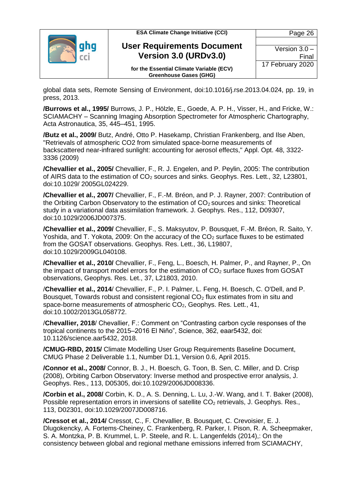| <b>ESA Climate Change Initiative (CCI)</b>                                | Page 26          |
|---------------------------------------------------------------------------|------------------|
| <b>User Requirements Document</b>                                         |                  |
|                                                                           | Version $3.0 -$  |
| Version 3.0 (URDv3.0)                                                     | Final            |
| for the Essential Climate Variable (ECV)<br><b>Greenhouse Gases (GHG)</b> | 17 February 2020 |

global data sets, Remote Sensing of Environment, doi:10.1016/j.rse.2013.04.024, pp. 19, in press, 2013.

**/Burrows et al., 1995/** Burrows, J. P., Hölzle, E., Goede, A. P. H., Visser, H., and Fricke, W.: SCIAMACHY – Scanning Imaging Absorption Spectrometer for Atmospheric Chartography, Acta Astronautica, 35, 445–451, 1995.

**/Butz et al., 2009/** Butz, André, Otto P. Hasekamp, Christian Frankenberg, and Ilse Aben, "Retrievals of atmospheric CO2 from simulated space-borne measurements of backscattered near-infrared sunlight: accounting for aerosol effects," Appl. Opt. 48, 3322- 3336 (2009)

**/Chevallier et al., 2005/** Chevallier, F., R. J. Engelen, and P. Peylin, 2005: The contribution of AIRS data to the estimation of CO<sub>2</sub> sources and sinks. Geophys. Res. Lett., 32, L23801, doi:10.1029/ 2005GL024229.

**/Chevallier et al., 2007/** Chevallier, F., F.-M. Bréon, and P. J. Rayner, 2007: Contribution of the Orbiting Carbon Observatory to the estimation of  $CO<sub>2</sub>$  sources and sinks: Theoretical study in a variational data assimilation framework. J. Geophys. Res., 112, D09307, doi:10.1029/2006JD007375.

**/Chevallier et al., 2009/** Chevallier, F., S. Maksyutov, P. Bousquet, F.-M. Bréon, R. Saito, Y. Yoshida, and T. Yokota, 2009: On the accuracy of the  $CO<sub>2</sub>$  surface fluxes to be estimated from the GOSAT observations. Geophys. Res. Lett., 36, L19807, doi:10.1029/2009GL040108.

**/Chevallier et al., 2010/** Chevallier, F., Feng, L., Boesch, H. Palmer, P., and Rayner, P., On the impact of transport model errors for the estimation of  $CO<sub>2</sub>$  surface fluxes from GOSAT observations, Geophys. Res. Let., 37, L21803, 2010.

/**Chevallier et al., 2014**/ Chevallier, F., P. I. Palmer, L. Feng, H. Boesch, C. O'Dell, and P. Bousquet, Towards robust and consistent regional  $CO<sub>2</sub>$  flux estimates from in situ and space-borne measurements of atmospheric CO<sub>2</sub>, Geophys. Res. Lett., 41, doi:10.1002/2013GL058772.

/**Chevallier, 2018**/ Chevallier, F.: Comment on "Contrasting carbon cycle responses of the tropical continents to the 2015–2016 El Niño", Science, 362, eaar5432, doi: 10.1126/science.aar5432, 2018.

**/CMUG-RBD, 2015/** Climate Modelling User Group Requirements Baseline Document, CMUG Phase 2 Deliverable 1.1, Number D1.1, Version 0.6, April 2015.

**/Connor et al., 2008/** Connor, B. J., H. Boesch, G. Toon, B. Sen, C. Miller, and D. Crisp (2008), Orbiting Carbon Observatory: Inverse method and prospective error analysis, J. Geophys. Res., 113, D05305, doi:10.1029/2006JD008336.

**/Corbin et al., 2008/** Corbin, K. D., A. S. Denning, L. Lu, J.-W. Wang, and I. T. Baker (2008), Possible representation errors in inversions of satellite  $CO<sub>2</sub>$  retrievals, J. Geophys. Res., 113, D02301, doi:10.1029/2007JD008716.

**/Cressot et al., 2014/** Cressot, C., F. Chevallier, B. Bousquet, C. Crevoisier, E. J. Dlugokencky, A. Fortems-Cheiney, C. Frankenberg, R. Parker, I. Pison, R. A. Scheepmaker, S. A. Montzka, P. B. Krummel, L. P. Steele, and R. L. Langenfelds (2014),: On the consistency between global and regional methane emissions inferred from SCIAMACHY,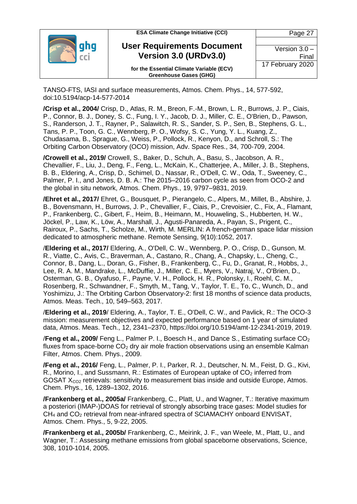| <b>ESA Climate Change Initiative (CCI)</b>                                | Page 27          |
|---------------------------------------------------------------------------|------------------|
|                                                                           |                  |
| <b>User Requirements Document</b>                                         | Version $3.0 -$  |
| Version 3.0 (URDv3.0)                                                     | Final            |
| for the Essential Climate Variable (ECV)<br><b>Greenhouse Gases (GHG)</b> | 17 February 2020 |

TANSO-FTS, IASI and surface measurements, Atmos. Chem. Phys., 14, 577-592, doi:10.5194/acp-14-577-2014

**/Crisp et al., 2004/** Crisp, D., Atlas, R. M., Breon, F.-M., Brown, L. R., Burrows, J. P., Ciais, P., Connor, B. J., Doney, S. C., Fung, I. Y., Jacob, D. J., Miller, C. E., O'Brien, D., Pawson, S., Randerson, J. T., Rayner, P., Salawitch, R. S., Sander, S. P., Sen, B., Stephens, G. L., Tans, P. P., Toon, G. C., Wennberg, P. O., Wofsy, S. C., Yung, Y. L., Kuang, Z., Chudasama, B., Sprague, G., Weiss, P., Pollock, R., Kenyon, D., and Schroll, S.: The Orbiting Carbon Observatory (OCO) mission, Adv. Space Res., 34, 700-709, 2004.

**/Crowell et al., 2019/** Crowell, S., Baker, D., Schuh, A., Basu, S., Jacobson, A. R., Chevallier, F., Liu, J., Deng, F., Feng, L., McKain, K., Chatterjee, A., Miller, J. B., Stephens, B. B., Eldering, A., Crisp, D., Schimel, D., Nassar, R., O'Dell, C. W., Oda, T., Sweeney, C., Palmer, P. I., and Jones, D. B. A.: The 2015–2016 carbon cycle as seen from OCO-2 and the global in situ network, Atmos. Chem. Phys., 19, 9797–9831, 2019.

**/Ehret et al., 2017/** Ehret, G., Bousquet, P., Pierangelo, C., Alpers, M., Millet, B., Abshire, J. B., Bovensmann, H., Burrows, J. P., Chevallier, F., Ciais, P., Crevoisier, C., Fix, A., Flamant, P., Frankenberg, C., Gibert, F., Heim, B., Heimann, M., Houweling, S., Hubberten, H. W., Jöckel, P., Law, K., Löw, A., Marshall, J., Agusti-Panareda, A., Payan, S., Prigent, C., Rairoux, P., Sachs, T., Scholze, M., Wirth, M. MERLIN: A french-german space lidar mission dedicated to atmospheric methane. Remote Sensing, 9(10):1052, 2017.

/**Eldering et al., 2017/** Eldering, A., O'Dell, C. W., Wennberg, P. O., Crisp, D., Gunson, M. R., Viatte, C., Avis, C., Braverman, A., Castano, R., Chang, A., Chapsky, L., Cheng, C., Connor, B., Dang, L., Doran, G., Fisher, B., Frankenberg, C., Fu, D., Granat, R., Hobbs, J., Lee, R. A. M., Mandrake, L., McDuffie, J., Miller, C. E., Myers, V., Natraj, V., O'Brien, D., Osterman, G. B., Oyafuso, F., Payne, V. H., Pollock, H. R., Polonsky, I., Roehl, C. M., Rosenberg, R., Schwandner, F., Smyth, M., Tang, V., Taylor, T. E., To, C., Wunch, D., and Yoshimizu, J.: The Orbiting Carbon Observatory-2: first 18 months of science data products, Atmos. Meas. Tech., 10, 549–563, 2017.

/**Eldering et al., 2019**/ Eldering, A., Taylor, T. E., O'Dell, C. W., and Pavlick, R.: The OCO-3 mission: measurement objectives and expected performance based on 1 year of simulated data, Atmos. Meas. Tech., 12, 2341–2370, https://doi.org/10.5194/amt-12-2341-2019, 2019.

**/Feng et al., 2009/** Feng L., Palmer P. I., Boesch H., and Dance S., Estimating surface CO<sub>2</sub> fluxes from space-borne  $CO<sub>2</sub>$  dry air mole fraction observations using an ensemble Kalman Filter, Atmos. Chem. Phys., 2009.

**/Feng et al., 2016/** Feng, L., Palmer, P. I., Parker, R. J., Deutscher, N. M., Feist, D. G., Kivi, R., Morino, I., and Sussmann, R.; Estimates of European uptake of  $CO<sub>2</sub>$  inferred from GOSAT  $X_{CO2}$  retrievals: sensitivity to measurement bias inside and outside Europe, Atmos. Chem. Phys., 16, 1289–1302, 2016.

**/Frankenberg et al., 2005a/** Frankenberg, C., Platt, U., and Wagner, T.: Iterative maximum a posteriori (IMAP-)DOAS for retrieval of strongly absorbing trace gases: Model studies for CH<sup>4</sup> and CO<sup>2</sup> retrieval from near-infrared spectra of SCIAMACHY onboard ENVISAT, Atmos. Chem. Phys., 5, 9-22, 2005.

**/Frankenberg et al., 2005b/** Frankenberg, C., Meirink, J. F., van Weele, M., Platt, U., and Wagner, T.: Assessing methane emissions from global spaceborne observations, Science, 308, 1010-1014, 2005.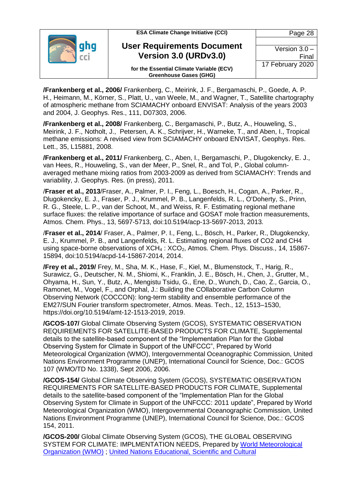| <b>ESA Climate Change Initiative (CCI)</b>                                | Page 28          |
|---------------------------------------------------------------------------|------------------|
| <b>User Requirements Document</b>                                         |                  |
|                                                                           | Version $3.0 -$  |
| Version 3.0 (URDv3.0)                                                     | Final            |
| for the Essential Climate Variable (ECV)<br><b>Greenhouse Gases (GHG)</b> | 17 February 2020 |

**/Frankenberg et al., 2006/** Frankenberg, C., Meirink, J. F., Bergamaschi, P., Goede, A. P. H., Heimann, M., Körner, S., Platt, U., van Weele, M., and Wagner, T., Satellite chartography of atmospheric methane from SCIAMACHY onboard ENVISAT: Analysis of the years 2003 and 2004, J. Geophys. Res., 111, D07303, 2006.

**/Frankenberg et al., 2008/** Frankenberg, C., Bergamaschi, P., Butz, A., Houweling, S., Meirink, J. F., Notholt, J., Petersen, A. K., Schrijver, H., Warneke, T., and Aben, I., Tropical methane emissions: A revised view from SCIAMACHY onboard ENVISAT, Geophys. Res. Lett., 35, L15881, 2008.

**/Frankenberg et al., 2011/** Frankenberg, C., Aben, I., Bergamaschi, P., Dlugokencky, E. J., van Hees, R., Houweling, S., van der Meer, P., Snel, R., and Tol, P., Global columnaveraged methane mixing ratios from 2003-2009 as derived from SCIAMACHY: Trends and variability, J. Geophys. Res. (in press), 2011.

/**Fraser et al., 2013**/Fraser, A., Palmer, P. I., Feng, L., Boesch, H., Cogan, A., Parker, R., Dlugokencky, E. J., Fraser, P. J., Krummel, P. B., Langenfelds, R. L., O'Doherty, S., Prinn, R. G., Steele, L. P., van der Schoot, M., and Weiss, R. F. Estimating regional methane surface fluxes: the relative importance of surface and GOSAT mole fraction measurements, Atmos. Chem. Phys., 13, 5697-5713, doi:10.5194/acp-13-5697-2013, 2013.

/**Fraser et al., 2014**/ Fraser, A., Palmer, P. I., Feng, L., Bösch, H., Parker, R., Dlugokencky, E. J., Krummel, P. B., and Langenfelds, R. L. Estimating regional fluxes of CO2 and CH4 using space-borne observations of  $XCH<sub>4</sub>$ :  $XCO<sub>2</sub>$ , Atmos. Chem. Phys. Discuss., 14, 15867-15894, doi:10.5194/acpd-14-15867-2014, 2014.

**/Frey et al., 2019/** Frey, M., Sha, M. K., Hase, F., Kiel, M., Blumenstock, T., Harig, R., Surawicz, G., Deutscher, N. M., Shiomi, K., Franklin, J. E., Bösch, H., Chen, J., Grutter, M., Ohyama, H., Sun, Y., Butz, A., Mengistu Tsidu, G., Ene, D., Wunch, D., Cao, Z., Garcia, O., Ramonet, M., Vogel, F., and Orphal, J.: Building the COllaborative Carbon Column Observing Network (COCCON): long-term stability and ensemble performance of the EM27/SUN Fourier transform spectrometer, Atmos. Meas. Tech., 12, 1513–1530, https://doi.org/10.5194/amt-12-1513-2019, 2019.

**/GCOS-107/** Global Climate Observing System (GCOS), SYSTEMATIC OBSERVATION REQUIREMENTS FOR SATELLITE-BASED PRODUCTS FOR CLIMATE, Supplemental details to the satellite-based component of the "Implementation Plan for the Global Observing System for Climate in Support of the UNFCCC", Prepared by World Meteorological Organization (WMO), Intergovernmental Oceanographic Commission, United Nations Environment Programme (UNEP), International Council for Science, Doc.: GCOS 107 (WMO/TD No. 1338), Sept 2006, 2006.

**/GCOS-154/** Global Climate Observing System (GCOS), SYSTEMATIC OBSERVATION REQUIREMENTS FOR SATELLITE-BASED PRODUCTS FOR CLIMATE, Supplemental details to the satellite-based component of the "Implementation Plan for the Global Observing System for Climate in Support of the UNFCCC: 2011 update", Prepared by World Meteorological Organization (WMO), Intergovernmental Oceanographic Commission, United Nations Environment Programme (UNEP), International Council for Science, Doc.: GCOS 154, 2011.

**/GCOS-200/** Global Climate Observing System (GCOS), THE GLOBAL OBSERVING SYSTEM FOR CLIMATE: IMPLMENTATION NEEDS, Prepared by [World Meteorological](https://library.wmo.int/index.php?lvl=author_see&id=1)  [Organization \(WMO\)](https://library.wmo.int/index.php?lvl=author_see&id=1) ; [United Nations Educational, Scientific and Cultural](https://library.wmo.int/index.php?lvl=author_see&id=541)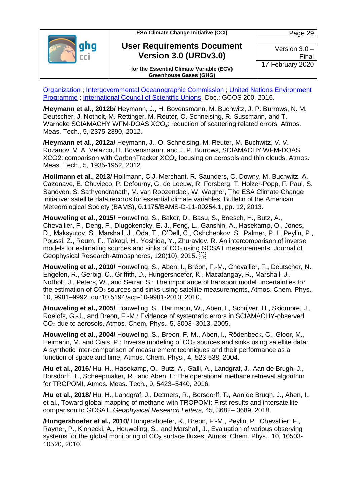

**User Requirements Document Version 3.0 (URDv3.0)**

**for the Essential Climate Variable (ECV) Greenhouse Gases (GHG)**

[Organization](https://library.wmo.int/index.php?lvl=author_see&id=541) ; [Intergovernmental Oceanographic Commission](https://library.wmo.int/index.php?lvl=author_see&id=847) ; [United Nations Environment](https://library.wmo.int/index.php?lvl=author_see&id=125)  [Programme](https://library.wmo.int/index.php?lvl=author_see&id=125) ; [International Council of Scientific Unions,](https://library.wmo.int/index.php?lvl=author_see&id=1107) Doc.: GCOS 200, 2016.

**/Heymann et al., 2012b/** Heymann, J., H. Bovensmann, M. Buchwitz, J. P. Burrows, N. M. Deutscher, J. Notholt, M. Rettinger, M. Reuter, O. Schneising, R. Sussmann, and T. Warneke SCIAMACHY WFM-DOAS XCO<sub>2</sub>: reduction of scattering related errors, Atmos. Meas. Tech., 5, 2375-2390, 2012.

**/Heymann et al., 2012a/** Heymann, J., O. Schneising, M. Reuter, M. Buchwitz, V. V. Rozanov, V. A. Velazco, H. Bovensmann, and J. P. Burrows, SCIAMACHY WFM-DOAS XCO2: comparison with CarbonTracker  $XCO<sub>2</sub>$  focusing on aerosols and thin clouds, Atmos. Meas. Tech., 5, 1935-1952, 2012.

**/Hollmann et al., 2013/** Hollmann, C.J. Merchant, R. Saunders, C. Downy, M. Buchwitz, A. Cazenave, E. Chuvieco, P. Defourny, G. de Leeuw, R. Forsberg, T. Holzer-Popp, F. Paul, S. Sandven, S. Sathyendranath, M. van Roozendael, W. Wagner, The ESA Climate Change Initiative: satellite data records for essential climate variables, Bulletin of the American Meteorological Society (BAMS), 0.1175/BAMS-D-11-00254.1, pp. 12, 2013.

**/Houweling et al., 2015/** Houweling, S., Baker, D., Basu, S., Boesch, H., Butz, A., Chevallier, F., Deng, F., Dlugokencky, E. J., Feng, L., Ganshin, A., Hasekamp, O., Jones, D., Maksyutov, S., Marshall, J., Oda, T., O'Dell, C., Oshchepkov, S., Palmer, P. I., Peylin, P., Poussi, Z., Reum, F., Takagi, H., Yoshida, Y., Zhuravlev, R. An intercomparison of inverse models for estimating sources and sinks of  $CO<sub>2</sub>$  using GOSAT measurements. Journal of Geophysical Research-Atmospheres, 120(10), 2015.

**/Houweling et al., 2010/** Houweling, S., Aben, I., Bréon, F.-M., Chevallier, F., Deutscher, N., Engelen, R., Gerbig, C., Griffith, D., Hungershoefer, K., Macatangay, R., Marshall, J., Notholt, J., Peters, W., and Serrar, S.: The importance of transport model uncertainties for the estimation of  $CO<sub>2</sub>$  sources and sinks using satellite measurements, Atmos. Chem. Phys., 10, 9981–9992, doi:10.5194/acp-10-9981-2010, 2010.

**/Houweling et al., 2005/** Houweling, S., Hartmann, W., Aben, I., Schrijver, H., Skidmore, J., Roelofs, G.-J., and Breon, F.-M.: Evidence of systematic errors in SCIAMACHY-observed CO<sup>2</sup> due to aerosols, Atmos. Chem. Phys., 5, 3003–3013, 2005.

**/Houweling et al., 2004/** Houweling, S., Breon, F.-M., Aben, I., Rödenbeck, C., Gloor, M., Heimann, M. and Ciais, P.: Inverse modeling of  $CO<sub>2</sub>$  sources and sinks using satellite data: A synthetic inter-comparison of measurement techniques and their performance as a function of space and time, Atmos. Chem. Phys., 4, 523-538, 2004.

**/Hu et al., 2016**/ Hu, H., Hasekamp, O., Butz, A., Galli, A., Landgraf, J., Aan de Brugh, J., Borsdorff, T., Scheepmaker, R., and Aben, I.: The operational methane retrieval algorithm for TROPOMI, Atmos. Meas. Tech., 9, 5423–5440, 2016.

**/Hu et al., 2018/** Hu, H., Landgraf, J., Detmers, R., Borsdorff, T., Aan de Brugh, J., Aben, I., et al., Toward global mapping of methane with TROPOMI: First results and intersatellite comparison to GOSAT. *Geophysical Research Letters*, 45, 3682– 3689, 2018.

**/Hungershoefer et al., 2010/** Hungershoefer, K., Breon, F.-M., Peylin, P., Chevallier, F., Rayner, P., Klonecki, A., Houweling, S., and Marshall, J., Evaluation of various observing systems for the global monitoring of  $CO<sub>2</sub>$  surface fluxes, Atmos. Chem. Phys., 10, 10503-10520, 2010.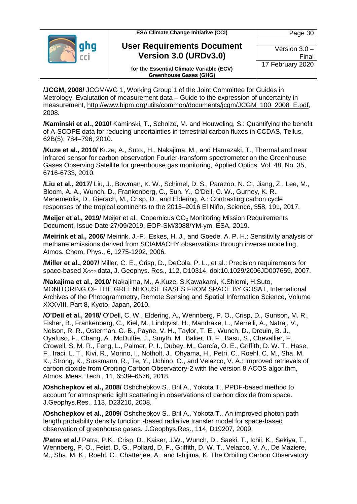|  | <b>ESA Climate Change Initiative (CCI)</b>                                | Page 30          |  |
|--|---------------------------------------------------------------------------|------------------|--|
|  |                                                                           |                  |  |
|  | <b>User Requirements Document</b>                                         | Version $3.0 -$  |  |
|  | Version 3.0 (URDv3.0)                                                     | Final            |  |
|  | for the Essential Climate Variable (ECV)<br><b>Greenhouse Gases (GHG)</b> | 17 February 2020 |  |

**/JCGM, 2008/** JCGM/WG 1, Working Group 1 of the Joint Committee for Guides in Metrology, Evalutation of measurement data – Guide to the expression of uncertainty in measurement, [http://www.bipm.org/utils/common/documents/jcgm/JCGM\\_100\\_2008\\_E.pdf,](http://www.bipm.org/utils/common/documents/jcgm/JCGM_100_2008_E.pdf) 2008.

**/Kaminski et al., 2010/** Kaminski, T., Scholze, M. and Houweling, S.: Quantifying the benefit of A-SCOPE data for reducing uncertainties in terrestrial carbon fluxes in CCDAS, Tellus, 62B(5), 784–796, 2010.

**/Kuze et al., 2010/** Kuze, A., Suto., H., Nakajima, M., and Hamazaki, T., Thermal and near infrared sensor for carbon observation Fourier-transform spectrometer on the Greenhouse Gases Observing Satellite for greenhouse gas monitoring, Applied Optics, Vol. 48, No. 35, 6716-6733, 2010.

**/Liu et al., 2017/** Liu, J., Bowman, K. W., Schimel, D. S., Parazoo, N. C., Jiang, Z., Lee, M., Bloom, A. A., Wunch, D., Frankenberg, C., Sun, Y., O'Dell, C. W., Gurney, K. R., Menemenlis, D., Gierach, M., Crisp, D., and Eldering, A.: Contrasting carbon cycle responses of the tropical continents to the 2015–2016 El Niño, Science, 358, 191, 2017.

**/Meijer et al., 2019/** Meijer et al., Copernicus CO<sub>2</sub> Monitoring Mission Requirements Document, Issue Date 27/09/2019, EOP-SM/3088/YM-ym, ESA, 2019.

**/Meirink et al., 2006/** Meirink, J.-F., Eskes, H. J., and Goede, A. P. H.: Sensitivity analysis of methane emissions derived from SCIAMACHY observations through inverse modelling, Atmos. Chem. Phys., 6, 1275-1292, 2006.

**/Miller et al., 2007/** Miller, C. E., Crisp, D., DeCola, P. L., et al.: Precision requirements for space-based  $X_{CQ2}$  data, J. Geophys. Res., 112, D10314, doi:10.1029/2006JD007659, 2007.

**/Nakajima et al., 2010/** Nakajima, M., A.Kuze, S.Kawakami, K.Shiomi, H.Suto, MONITORING OF THE GREENHOUSE GASES FROM SPACE BY GOSAT, International Archives of the Photogrammetry, Remote Sensing and Spatial Information Science, Volume XXXVIII, Part 8, Kyoto, Japan, 2010.

**/O'Dell et al., 2018/** O'Dell, C. W., Eldering, A., Wennberg, P. O., Crisp, D., Gunson, M. R., Fisher, B., Frankenberg, C., Kiel, M., Lindqvist, H., Mandrake, L., Merrelli, A., Natraj, V., Nelson, R. R., Osterman, G. B., Payne, V. H., Taylor, T. E., Wunch, D., Drouin, B. J., Oyafuso, F., Chang, A., McDuffie, J., Smyth, M., Baker, D. F., Basu, S., Chevallier, F., Crowell, S. M. R., Feng, L., Palmer, P. I., Dubey, M., García, O. E., Griffith, D. W. T., Hase, F., Iraci, L. T., Kivi, R., Morino, I., Notholt, J., Ohyama, H., Petri, C., Roehl, C. M., Sha, M. K., Strong, K., Sussmann, R., Te, Y., Uchino, O., and Velazco, V. A.: Improved retrievals of carbon dioxide from Orbiting Carbon Observatory-2 with the version 8 ACOS algorithm, Atmos. Meas. Tech., 11, 6539–6576, 2018.

**/Oshchepkov et al., 2008/** Oshchepkov S., Bril A., Yokota T., PPDF-based method to account for atmospheric light scattering in observations of carbon dioxide from space. J.Geophys.Res., 113, D23210, 2008.

**/Oshchepkov et al., 2009/** Oshchepkov S., Bril A., Yokota T., An improved photon path length probability density function -based radiative transfer model for space-based observation of greenhouse gases. J.Geophys.Res., 114, D19207, 2009.

**/Patra et al./** Patra, P.K., Crisp, D., Kaiser, J.W., Wunch, D., Saeki, T., Ichii, K., Sekiya, T., Wennberg, P. O., Feist, D. G., Pollard, D. F., Griffith, D. W. T., Velazco, V. A., De Maziere, M., Sha, M. K., Roehl, C., Chatterjee, A., and Ishijima, K*.* The Orbiting Carbon Observatory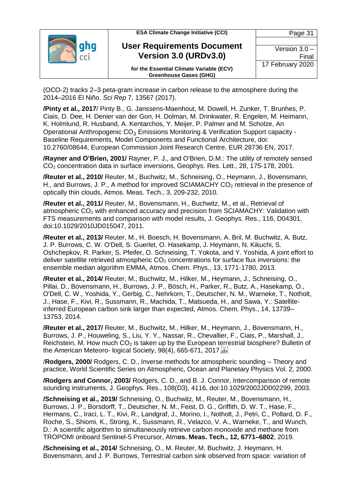| <b>ESA Climate Change Initiative (CCI)</b>                                | Page 31          |
|---------------------------------------------------------------------------|------------------|
|                                                                           |                  |
| <b>User Requirements Document</b>                                         | Version $3.0 -$  |
| Version 3.0 (URDv3.0)                                                     | Final            |
| for the Essential Climate Variable (ECV)<br><b>Greenhouse Gases (GHG)</b> | 17 February 2020 |

(OCO-2) tracks 2–3 peta-gram increase in carbon release to the atmosphere during the 2014–2016 El Niño. *Sci Rep* 7, 13567 (2017).

**/Pinty et al., 2017**/ Pinty B., G. Janssens-Maenhout, M. Dowell, H. Zunker, T. Brunhes, P. Ciais, D. Dee, H. Denier van der Gon, H. Dolman, M. Drinkwater, R. Engelen, M. Heimann, K. Holmlund, R. Husband, A. Kentarchos, Y. Meijer, P. Palmer and M. Scholze, An Operational Anthropogenic CO₂ Emissions Monitoring & Verification Support capacity - Baseline Requirements, Model Components and Functional Architecture, doi: 10.2760/08644, European Commission Joint Research Centre, EUR 28736 EN, 2017.

**/Rayner and O'Brien, 2001/** Rayner, P. J., and O'Brien, D.M.: The utility of remotely sensed CO<sup>2</sup> concentration data in surface inversions, Geophys. Res. Lett., 28, 175-178, 2001.

**/Reuter et al., 2010/** Reuter, M., Buchwitz, M., Schneising, O., Heymann, J., Bovensmann, H., and Burrows, J. P., A method for improved SCIAMACHY  $CO<sub>2</sub>$  retrieval in the presence of optically thin clouds, Atmos. Meas. Tech., 3, 209-232, 2010.

**/Reuter et al., 2011/** Reuter, M., Bovensmann, H., Buchwitz, M., et al., Retrieval of atmospheric CO<sup>2</sup> with enhanced accuracy and precision from SCIAMACHY: Validation with FTS measurements and comparison with model results, J. Geophys. Res., 116, D04301, doi:10.1029/2010JD015047, 2011.

**/Reuter et al., 2013/** Reuter, M., H. Boesch, H. Bovensmann, A. Bril, M. Buchwitz, A. Butz, J. P. Burrows, C. W. O'Dell, S. Guerlet, O. Hasekamp, J. Heymann, N. Kikuchi, S. Oshchepkov, R. Parker, S. Pfeifer, O. Schneising, T. Yokota, and Y. Yoshida, A joint effort to deliver satellite retrieved atmospheric  $CO<sub>2</sub>$  concentrations for surface flux inversions: the ensemble median algorithm EMMA, Atmos. Chem. Phys., 13, 1771-1780, 2013.

**/Reuter et al., 2014/** Reuter, M., Buchwitz, M., Hilker, M., Heymann, J., Schneising, O., Pillai, D., Bovensmann, H., Burrows, J. P., Bösch, H., Parker, R., Butz, A., Hasekamp, O., O'Dell, C. W., Yoshida, Y., Gerbig, C., Nehrkorn, T., Deutscher, N. M., Warneke, T., Notholt, J., Hase, F., Kivi, R., Sussmann, R., Machida, T., Matsueda, H., and Sawa, Y.: Satelliteinferred European carbon sink larger than expected, Atmos. Chem. Phys., 14, 13739– 13753, 2014.

**/Reuter et al., 2017/** Reuter, M., Buchwitz, M., Hilker, M., Heymann, J., Bovensmann, H., Burrows, J. P., Houweling, S., Liu, Y. Y., Nassar, R., Chevallier, F., Ciais, P., Marshall, J., Reichstein, M. How much  $CO<sub>2</sub>$  is taken up by the European terrestrial biosphere? Bulletin of the American Meteoro- logical Society, 98(4), 665-671, 2017.

/**Rodgers, 2000/** Rodgers, C. D., Inverse methods for atmospheric sounding – Theory and practice, World Scientific Series on Atmospheric, Ocean and Planetary Physics Vol. 2, 2000.

**/Rodgers and Connor, 2003/** Rodgers, C. D., and B. J. Connor, Intercomparison of remote sounding instruments, J. Geophys. Res., 108(D3), 4116, doi:10.1029/2002JD002299, 2003.

**/Schneising et al., 2019/** Schneising, O., Buchwitz, M., Reuter, M., Bovensmann, H., Burrows, J. P., Borsdorff, T., Deutscher, N. M., Feist, D. G., Griffith, D. W. T., Hase, F., Hermans, C., Iraci, L. T., Kivi, R., Landgraf, J., Morino, I., Notholt, J., Petri, C., Pollard, D. F., Roche, S., Shiomi, K., Strong, K., Sussmann, R., Velazco, V. A., Warneke, T., and Wunch, D.: A scientific algorithm to simultaneously retrieve carbon monoxide and methane from TROPOMI onboard Sentinel-5 Precursor, Atm**os. Meas. Tech., 12, 6771–6802**, 2019.

**/Schneising et al., 2014/** Schneising, O., M. Reuter, M. Buchwitz, J. Heymann, H. Bovensmann, and J. P. Burrows, Terrestrial carbon sink observed from space: variation of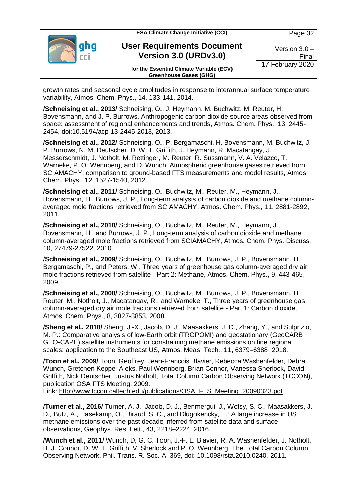

growth rates and seasonal cycle amplitudes in response to interannual surface temperature variability, Atmos. Chem. Phys., 14, 133-141, 2014.

**/Schneising et al., 2013/** Schneising, O., J. Heymann, M. Buchwitz, M. Reuter, H. Bovensmann, and J. P. Burrows, Anthropogenic carbon dioxide source areas observed from space: assessment of regional enhancements and trends, Atmos. Chem. Phys., 13, 2445- 2454, doi:10.5194/acp-13-2445-2013, 2013.

**/Schneising et al., 2012/** Schneising, O., P. Bergamaschi, H. Bovensmann, M. Buchwitz, J. P. Burrows, N. M. Deutscher, D. W. T. Griffith, J. Heymann, R. Macatangay, J. Messerschmidt, J. Notholt, M. Rettinger, M. Reuter, R. Sussmann, V. A. Velazco, T. Warneke, P. O. Wennberg, and D. Wunch, Atmospheric greenhouse gases retrieved from SCIAMACHY: comparison to ground-based FTS measurements and model results, Atmos. Chem. Phys., 12, 1527-1540, 2012.

**/Schneising et al., 2011/** Schneising, O., Buchwitz, M., Reuter, M., Heymann, J., Bovensmann, H., Burrows, J. P., Long-term analysis of carbon dioxide and methane columnaveraged mole fractions retrieved from SCIAMACHY, Atmos. Chem. Phys., 11, 2881-2892, 2011.

**/Schneising et al., 2010/** Schneising, O., Buchwitz, M., Reuter, M., Heymann, J., Bovensmann, H., and Burrows, J. P., Long-term analysis of carbon dioxide and methane column-averaged mole fractions retrieved from SCIAMACHY, Atmos. Chem. Phys. Discuss., 10, 27479-27522, 2010.

/**Schneising et al., 2009/** Schneising, O., Buchwitz, M., Burrows, J. P., Bovensmann, H., Bergamaschi, P., and Peters, W., Three years of greenhouse gas column-averaged dry air mole fractions retrieved from satellite - Part 2: Methane, Atmos. Chem. Phys., 9, 443-465, 2009.

**/Schneising et al., 2008/** Schneising, O., Buchwitz, M., Burrows, J. P., Bovensmann, H., Reuter, M., Notholt, J., Macatangay, R., and Warneke, T., Three years of greenhouse gas column-averaged dry air mole fractions retrieved from satellite - Part 1: Carbon dioxide, Atmos. Chem. Phys., 8, 3827-3853, 2008.

**/Sheng et al., 2018/** Sheng, J.-X., Jacob, D. J., Maasakkers, J. D., Zhang, Y., and Sulprizio, M. P.: Comparative analysis of low-Earth orbit (TROPOMI) and geostationary (GeoCARB, GEO-CAPE) satellite instruments for constraining methane emissions on fine regional scales: application to the Southeast US, Atmos. Meas. Tech., 11, 6379–6388, 2018.

**/Toon et al., 2009/** Toon, Geoffrey, Jean-Francois Blavier, Rebecca Washenfelder, Debra Wunch, Gretchen Keppel-Aleks, Paul Wennberg, Brian Connor, Vanessa Sherlock, David Griffith, Nick Deutscher, Justus Notholt, Total Column Carbon Observing Network (TCCON), publication OSA FTS Meeting, 2009.

Link: [http://www.tccon.caltech.edu/publications/OSA\\_FTS\\_Meeting\\_20090323.pdf](http://www.tccon.caltech.edu/publications/OSA_FTS_Meeting_20090323.pdf)

**/Turner et al., 2016/** Turner, A. J., Jacob, D. J., Benmergui, J., Wofsy, S. C., Maasakkers, J. D., Butz, A., Hasekamp, O., Biraud, S. C., and Dlugokencky, E.: A large increase in US methane emissions over the past decade inferred from satellite data and surface observations, Geophys. Res. Lett., 43, 2218–2224, 2016.

**/Wunch et al., 2011/** Wunch, D, G. C. Toon, J.-F. L. Blavier, R. A. Washenfelder, J. Notholt, B. J. Connor, D. W. T. Griffith, V. Sherlock and P. O. Wennberg. The Total Carbon Column Observing Network. Phil. Trans. R. Soc. A, 369, doi: 10.1098/rsta.2010.0240, 2011.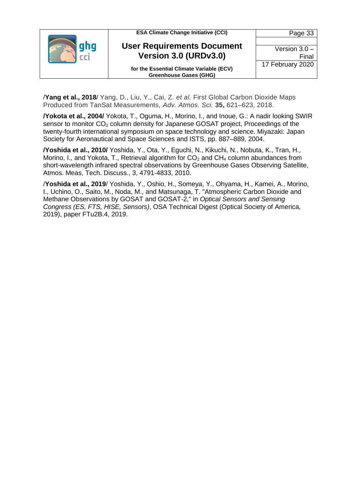

/**Yang et al., 2018**/ Yang, D., Liu, Y., Cai, Z. *et al.* First Global Carbon Dioxide Maps Produced from TanSat Measurements, *Adv. Atmos. Sci.* **35,** 621–623, 2018.

**/Yokota et al., 2004/** Yokota, T., Oguma, H., Morino, I., and Inoue, G.: A nadir looking SWIR sensor to monitor CO<sub>2</sub> column density for Japanese GOSAT project, Proceedings of the twenty-fourth international symposium on space technology and science. Miyazaki: Japan Society for Aeronautical and Space Sciences and ISTS, pp. 887–889, 2004.

**/Yoshida et al., 2010/** Yoshida, Y., Ota, Y., Eguchi, N., Kikuchi, N., Nobuta, K., Tran, H., Morino, I., and Yokota, T., Retrieval algorithm for  $CO<sub>2</sub>$  and  $CH<sub>4</sub>$  column abundances from short-wavelength infrared spectral observations by Greenhouse Gases Observing Satellite, Atmos. Meas, Tech. Discuss., 3, 4791-4833, 2010.

/**Yoshida et al., 2019**/ Yoshida, Y., Oshio, H., Someya, Y., Ohyama, H., Kamei, A., Morino, I., Uchino, O., Saito, M., Noda, M., and Matsunaga, T. "Atmospheric Carbon Dioxide and Methane Observations by GOSAT and GOSAT-2," in *Optical Sensors and Sensing Congress (ES, FTS, HISE, Sensors)*, OSA Technical Digest (Optical Society of America, 2019), paper FTu2B.4, 2019.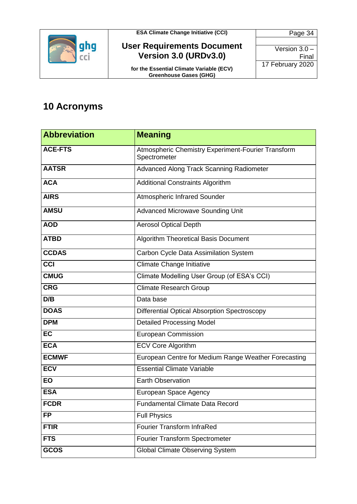

#### **User Requirements Document Version 3.0 (URDv3.0)**

**for the Essential Climate Variable (ECV) Greenhouse Gases (GHG)**

Page 34 Version 3.0 – Final 17 February 2020

### <span id="page-33-0"></span>**10 Acronyms**

| <b>Abbreviation</b> | <b>Meaning</b>                                                     |  |  |  |
|---------------------|--------------------------------------------------------------------|--|--|--|
| <b>ACE-FTS</b>      | Atmospheric Chemistry Experiment-Fourier Transform<br>Spectrometer |  |  |  |
| <b>AATSR</b>        | Advanced Along Track Scanning Radiometer                           |  |  |  |
| <b>ACA</b>          | <b>Additional Constraints Algorithm</b>                            |  |  |  |
| <b>AIRS</b>         | <b>Atmospheric Infrared Sounder</b>                                |  |  |  |
| <b>AMSU</b>         | <b>Advanced Microwave Sounding Unit</b>                            |  |  |  |
| <b>AOD</b>          | <b>Aerosol Optical Depth</b>                                       |  |  |  |
| <b>ATBD</b>         | Algorithm Theoretical Basis Document                               |  |  |  |
| <b>CCDAS</b>        | Carbon Cycle Data Assimilation System                              |  |  |  |
| $\overline{cc}$     | Climate Change Initiative                                          |  |  |  |
| <b>CMUG</b>         | Climate Modelling User Group (of ESA's CCI)                        |  |  |  |
| <b>CRG</b>          | <b>Climate Research Group</b>                                      |  |  |  |
| D/B                 | Data base                                                          |  |  |  |
| <b>DOAS</b>         | <b>Differential Optical Absorption Spectroscopy</b>                |  |  |  |
| <b>DPM</b>          | <b>Detailed Processing Model</b>                                   |  |  |  |
| <b>EC</b>           | <b>European Commission</b>                                         |  |  |  |
| <b>ECA</b>          | <b>ECV Core Algorithm</b>                                          |  |  |  |
| <b>ECMWF</b>        | European Centre for Medium Range Weather Forecasting               |  |  |  |
| <b>ECV</b>          | <b>Essential Climate Variable</b>                                  |  |  |  |
| <b>EO</b>           | <b>Earth Observation</b>                                           |  |  |  |
| <b>ESA</b>          | European Space Agency                                              |  |  |  |
| <b>FCDR</b>         | <b>Fundamental Climate Data Record</b>                             |  |  |  |
| <b>FP</b>           | <b>Full Physics</b>                                                |  |  |  |
| <b>FTIR</b>         | <b>Fourier Transform InfraRed</b>                                  |  |  |  |
| <b>FTS</b>          | Fourier Transform Spectrometer                                     |  |  |  |
| GCOS                | <b>Global Climate Observing System</b>                             |  |  |  |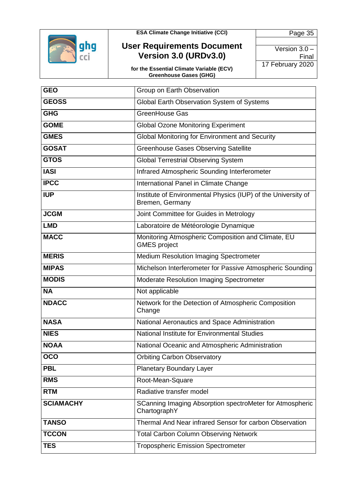

#### **User Requirements Document Version 3.0 (URDv3.0)**

**for the Essential Climate Variable (ECV) Greenhouse Gases (GHG)**

| <b>GEO</b>       | Group on Earth Observation                                                       |  |  |  |  |
|------------------|----------------------------------------------------------------------------------|--|--|--|--|
| <b>GEOSS</b>     | Global Earth Observation System of Systems                                       |  |  |  |  |
| <b>GHG</b>       | GreenHouse Gas                                                                   |  |  |  |  |
| <b>GOME</b>      | <b>Global Ozone Monitoring Experiment</b>                                        |  |  |  |  |
| <b>GMES</b>      | <b>Global Monitoring for Environment and Security</b>                            |  |  |  |  |
| <b>GOSAT</b>     | <b>Greenhouse Gases Observing Satellite</b>                                      |  |  |  |  |
| <b>GTOS</b>      | <b>Global Terrestrial Observing System</b>                                       |  |  |  |  |
| <b>IASI</b>      | Infrared Atmospheric Sounding Interferometer                                     |  |  |  |  |
| <b>IPCC</b>      | International Panel in Climate Change                                            |  |  |  |  |
| <b>IUP</b>       | Institute of Environmental Physics (IUP) of the University of<br>Bremen, Germany |  |  |  |  |
| <b>JCGM</b>      | Joint Committee for Guides in Metrology                                          |  |  |  |  |
| <b>LMD</b>       | Laboratoire de Météorologie Dynamique                                            |  |  |  |  |
| <b>MACC</b>      | Monitoring Atmospheric Composition and Climate, EU<br><b>GMES</b> project        |  |  |  |  |
| <b>MERIS</b>     | <b>Medium Resolution Imaging Spectrometer</b>                                    |  |  |  |  |
| <b>MIPAS</b>     | Michelson Interferometer for Passive Atmospheric Sounding                        |  |  |  |  |
| <b>MODIS</b>     | Moderate Resolution Imaging Spectrometer                                         |  |  |  |  |
| <b>NA</b>        | Not applicable                                                                   |  |  |  |  |
| <b>NDACC</b>     | Network for the Detection of Atmospheric Composition<br>Change                   |  |  |  |  |
| <b>NASA</b>      | National Aeronautics and Space Administration                                    |  |  |  |  |
| <b>NIES</b>      | National Institute for Environmental Studies                                     |  |  |  |  |
| <b>NOAA</b>      | National Oceanic and Atmospheric Administration                                  |  |  |  |  |
| OCO              | <b>Orbiting Carbon Observatory</b>                                               |  |  |  |  |
| <b>PBL</b>       | <b>Planetary Boundary Layer</b>                                                  |  |  |  |  |
| <b>RMS</b>       | Root-Mean-Square                                                                 |  |  |  |  |
| <b>RTM</b>       | Radiative transfer model                                                         |  |  |  |  |
| <b>SCIAMACHY</b> | SCanning Imaging Absorption spectroMeter for Atmospheric<br>ChartographY         |  |  |  |  |
| <b>TANSO</b>     | Thermal And Near infrared Sensor for carbon Observation                          |  |  |  |  |
| <b>TCCON</b>     | <b>Total Carbon Column Observing Network</b>                                     |  |  |  |  |
| <b>TES</b>       | <b>Tropospheric Emission Spectrometer</b>                                        |  |  |  |  |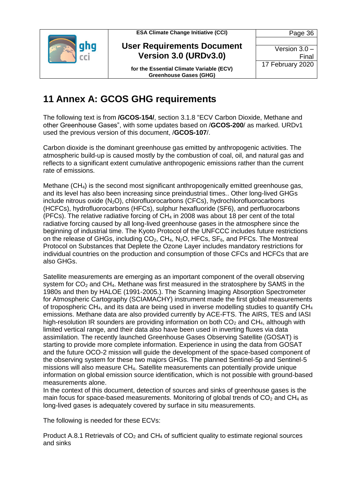

#### **User Requirements Document Version 3.0 (URDv3.0)**

Version 3.0 – Final 17 February 2020

Page 36

**for the Essential Climate Variable (ECV) Greenhouse Gases (GHG)**

### <span id="page-35-0"></span>**11 Annex A: GCOS GHG requirements**

The following text is from **/GCOS-154/**, section 3.1.8 "ECV Carbon Dioxide, Methane and other Greenhouse Gases", with some updates based on /**GCOS-200**/ as marked. URDv1 used the previous version of this document, /**GCOS-107**/.

Carbon dioxide is the dominant greenhouse gas emitted by anthropogenic activities. The atmospheric build-up is caused mostly by the combustion of coal, oil, and natural gas and reflects to a significant extent cumulative anthropogenic emissions rather than the current rate of emissions.

Methane (CH4) is the second most significant anthropogenically emitted greenhouse gas, and its level has also been increasing since preindustrial times.. Other long-lived GHGs include nitrous oxide  $(N_2O)$ , chlorofluorocarbons (CFCs), hydrochlorofluorocarbons (HCFCs), hydrofluorocarbons (HFCs), sulphur hexafluoride (SF6), and perfluorocarbons (PFCs). The relative radiative forcing of  $CH<sub>4</sub>$  in 2008 was about 18 per cent of the total radiative forcing caused by all long-lived greenhouse gases in the atmosphere since the beginning of industrial time. The Kyoto Protocol of the UNFCCC includes future restrictions on the release of GHGs, including  $CO<sub>2</sub>$ , CH<sub>4</sub>, N<sub>2</sub>O, HFCs, SF<sub>6</sub>, and PFCs. The Montreal Protocol on Substances that Deplete the Ozone Layer includes mandatory restrictions for individual countries on the production and consumption of those CFCs and HCFCs that are also GHGs.

Satellite measurements are emerging as an important component of the overall observing system for  $CO<sub>2</sub>$  and  $CH<sub>4</sub>$ . Methane was first measured in the stratosphere by SAMS in the 1980s and then by HALOE (1991-2005.). The Scanning Imaging Absorption Spectrometer for Atmospheric Cartography (SCIAMACHY) instrument made the first global measurements of tropospheric CH<sub>4</sub>, and its data are being used in inverse modelling studies to quantify CH<sub>4</sub> emissions. Methane data are also provided currently by ACE-FTS. The AIRS, TES and IASI high-resolution IR sounders are providing information on both  $CO<sub>2</sub>$  and  $CH<sub>4</sub>$ , although with limited vertical range, and their data also have been used in inverting fluxes via data assimilation. The recently launched Greenhouse Gases Observing Satellite (GOSAT) is starting to provide more complete information. Experience in using the data from GOSAT and the future OCO-2 mission will guide the development of the space-based component of the observing system for these two majors GHGs. The planned Sentinel-5p and Sentinel-5 missions will also measure CH4. Satellite measurements can potentially provide unique information on global emission source identification, which is not possible with ground-based measurements alone.

In the context of this document, detection of sources and sinks of greenhouse gases is the main focus for space-based measurements. Monitoring of global trends of  $CO<sub>2</sub>$  and CH<sub>4</sub> as long-lived gases is adequately covered by surface in situ measurements.

The following is needed for these ECVs:

Product A.8.1 Retrievals of  $CO<sub>2</sub>$  and CH<sub>4</sub> of sufficient quality to estimate regional sources and sinks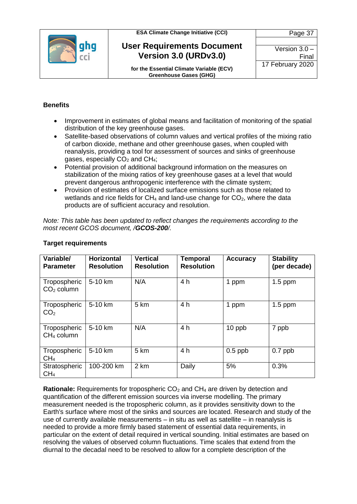

#### **User Requirements Document Version 3.0 (URDv3.0)**

Version 3.0 – Final 17 February 2020

Page 37

**for the Essential Climate Variable (ECV) Greenhouse Gases (GHG)**

#### **Benefits**

- Improvement in estimates of global means and facilitation of monitoring of the spatial distribution of the key greenhouse gases.
- Satellite-based observations of column values and vertical profiles of the mixing ratio of carbon dioxide, methane and other greenhouse gases, when coupled with reanalysis, providing a tool for assessment of sources and sinks of greenhouse gases, especially  $CO<sub>2</sub>$  and  $CH<sub>4</sub>$ ;
- Potential provision of additional background information on the measures on stabilization of the mixing ratios of key greenhouse gases at a level that would prevent dangerous anthropogenic interference with the climate system;
- Provision of estimates of localized surface emissions such as those related to wetlands and rice fields for  $CH_4$  and land-use change for  $CO_2$ , where the data products are of sufficient accuracy and resolution.

*Note: This table has been updated to reflect changes the requirements according to the most recent GCOS document, /GCOS-200/.* 

| Variable/<br><b>Parameter</b>    | <b>Horizontal</b><br><b>Resolution</b> | <b>Vertical</b><br><b>Resolution</b> | <b>Temporal</b><br><b>Resolution</b> | <b>Accuracy</b> | <b>Stability</b><br>(per decade) |
|----------------------------------|----------------------------------------|--------------------------------------|--------------------------------------|-----------------|----------------------------------|
| Tropospheric<br>$CO2$ column     | 5-10 km                                | N/A                                  | 4 h                                  | 1 ppm           | $1.5$ ppm                        |
| Tropospheric<br>CO <sub>2</sub>  | 5-10 km                                | 5 km                                 | 4 h                                  | 1 ppm           | $1.5$ ppm                        |
| Tropospheric<br>$CH4$ column     | 5-10 km                                | N/A                                  | 4 h                                  | 10 ppb          | 7 ppb                            |
| Tropospheric<br>CH <sub>4</sub>  | 5-10 km                                | 5 km                                 | 4 h                                  | $0.5$ ppb       | $0.7$ ppb                        |
| Stratospheric<br>CH <sub>4</sub> | 100-200 km                             | 2 km                                 | Daily                                | 5%              | 0.3%                             |

#### **Target requirements**

**Rationale:** Requirements for tropospheric CO<sub>2</sub> and CH<sub>4</sub> are driven by detection and quantification of the different emission sources via inverse modelling. The primary measurement needed is the tropospheric column, as it provides sensitivity down to the Earth's surface where most of the sinks and sources are located. Research and study of the use of currently available measurements – in situ as well as satellite – in reanalysis is needed to provide a more firmly based statement of essential data requirements, in particular on the extent of detail required in vertical sounding. Initial estimates are based on resolving the values of observed column fluctuations. Time scales that extend from the diurnal to the decadal need to be resolved to allow for a complete description of the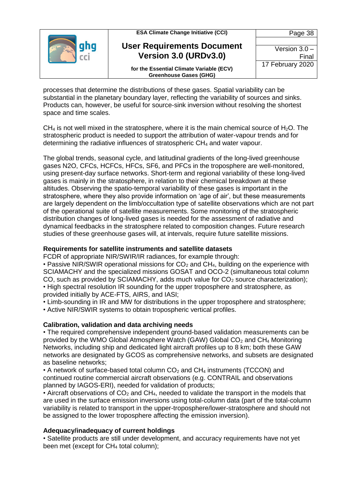| <b>ESA Climate Change Initiative (CCI)</b>                                | Page 38                  |
|---------------------------------------------------------------------------|--------------------------|
| <b>User Requirements Document</b><br>Version 3.0 (URDv3.0)                | Version $3.0 -$<br>Final |
| for the Essential Climate Variable (ECV)<br><b>Greenhouse Gases (GHG)</b> | 17 February 2020         |

processes that determine the distributions of these gases. Spatial variability can be substantial in the planetary boundary layer, reflecting the variability of sources and sinks. Products can, however, be useful for source-sink inversion without resolving the shortest space and time scales.

 $CH<sub>4</sub>$  is not well mixed in the stratosphere, where it is the main chemical source of H<sub>2</sub>O. The stratospheric product is needed to support the attribution of water-vapour trends and for determining the radiative influences of stratospheric CH<sup>4</sup> and water vapour.

The global trends, seasonal cycle, and latitudinal gradients of the long-lived greenhouse gases N2O, CFCs, HCFCs, HFCs, SF6, and PFCs in the troposphere are well-monitored, using present-day surface networks. Short-term and regional variability of these long-lived gases is mainly in the stratosphere, in relation to their chemical breakdown at these altitudes. Observing the spatio-temporal variability of these gases is important in the stratosphere, where they also provide information on 'age of air', but these measurements are largely dependent on the limb/occultation type of satellite observations which are not part of the operational suite of satellite measurements. Some monitoring of the stratospheric distribution changes of long-lived gases is needed for the assessment of radiative and dynamical feedbacks in the stratosphere related to composition changes. Future research studies of these greenhouse gases will, at intervals, require future satellite missions.

#### **Requirements for satellite instruments and satellite datasets**

FCDR of appropriate NIR/SWIR/IR radiances, for example through:

• Passive NIR/SWIR operational missions for  $CO<sub>2</sub>$  and  $CH<sub>4</sub>$ , building on the experience with SCIAMACHY and the specialized missions GOSAT and OCO-2 (simultaneous total column CO, such as provided by SCIAMACHY, adds much value for  $CO<sub>2</sub>$  source characterization); • High spectral resolution IR sounding for the upper troposphere and stratosphere, as provided initially by ACE-FTS, AIRS, and IASI;

• Limb-sounding in IR and MW for distributions in the upper troposphere and stratosphere; • Active NIR/SWIR systems to obtain tropospheric vertical profiles.

**Calibration, validation and data archiving needs**

• The required comprehensive independent ground-based validation measurements can be provided by the WMO Global Atmosphere Watch (GAW) Global  $CO<sub>2</sub>$  and  $CH<sub>4</sub>$  Monitoring Networks, including ship and dedicated light aircraft profiles up to 8 km; both these GAW networks are designated by GCOS as comprehensive networks, and subsets are designated as baseline networks;

• A network of surface-based total column  $CO<sub>2</sub>$  and  $CH<sub>4</sub>$  instruments (TCCON) and continued routine commercial aircraft observations (e.g. CONTRAIL and observations planned by IAGOS-ERI), needed for validation of products;

• Aircraft observations of  $CO<sub>2</sub>$  and CH<sub>4</sub>, needed to validate the transport in the models that are used in the surface emission inversions using total-column data (part of the total-column variability is related to transport in the upper-troposphere/lower-stratosphere and should not be assigned to the lower troposphere affecting the emission inversion).

#### **Adequacy/inadequacy of current holdings**

• Satellite products are still under development, and accuracy requirements have not yet been met (except for CH<sup>4</sup> total column);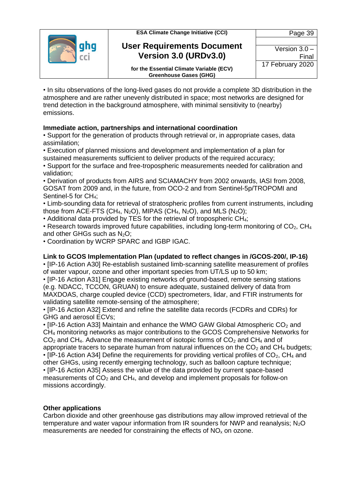



#### **User Requirements Document Version 3.0 (URDv3.0)**

Version 3.0 – Final 17 February 2020

**for the Essential Climate Variable (ECV) Greenhouse Gases (GHG)**

• In situ observations of the long-lived gases do not provide a complete 3D distribution in the atmosphere and are rather unevenly distributed in space; most networks are designed for trend detection in the background atmosphere, with minimal sensitivity to (nearby) emissions.

#### **Immediate action, partnerships and international coordination**

• Support for the generation of products through retrieval or, in appropriate cases, data assimilation;

• Execution of planned missions and development and implementation of a plan for sustained measurements sufficient to deliver products of the required accuracy;

• Support for the surface and free-tropospheric measurements needed for calibration and validation;

• Derivation of products from AIRS and SCIAMACHY from 2002 onwards, IASI from 2008, GOSAT from 2009 and, in the future, from OCO-2 and from Sentinel-5p/TROPOMI and Sentinel-5 for CH<sub>4</sub>:

• Limb-sounding data for retrieval of stratospheric profiles from current instruments, including those from ACE-FTS (CH<sub>4</sub>, N<sub>2</sub>O), MIPAS (CH<sub>4</sub>, N<sub>2</sub>O), and MLS (N<sub>2</sub>O);

• Additional data provided by TES for the retrieval of tropospheric CH<sub>4</sub>;

• Research towards improved future capabilities, including long-term monitoring of  $CO<sub>2</sub>$ , CH<sub>4</sub> and other GHGs such as  $N<sub>2</sub>O$ :

• Coordination by WCRP SPARC and IGBP IGAC.

#### **Link to GCOS Implementation Plan (updated to reflect changes in /GCOS-200/, IP-16)**

• [IP-16 Action A30] Re-establish sustained limb-scanning satellite measurement of profiles of water vapour, ozone and other important species from UT/LS up to 50 km;

• [IP-16 Action A31] Engage existing networks of ground-based, remote sensing stations (e.g. NDACC, TCCON, GRUAN) to ensure adequate, sustained delivery of data from MAXDOAS, charge coupled device (CCD) spectrometers, lidar, and FTIR instruments for validating satellite remote-sensing of the atmosphere;

• [IP-16 Action A32] Extend and refine the satellite data records (FCDRs and CDRs) for GHG and aerosol ECVs;

 $\cdot$  [IP-16 Action A33] Maintain and enhance the WMO GAW Global Atmospheric CO<sub>2</sub> and CH<sup>4</sup> monitoring networks as major contributions to the GCOS Comprehensive Networks for  $CO<sub>2</sub>$  and CH<sub>4</sub>. Advance the measurement of isotopic forms of  $CO<sub>2</sub>$  and CH<sub>4</sub> and of appropriate tracers to separate human from natural influences on the  $CO<sub>2</sub>$  and  $CH<sub>4</sub>$  budgets; • [IP-16 Action A34] Define the requirements for providing vertical profiles of  $CO<sub>2</sub>$ , CH<sub>4</sub> and other GHGs, using recently emerging technology, such as balloon capture technique; • [IP-16 Action A35] Assess the value of the data provided by current space-based measurements of  $CO<sub>2</sub>$  and  $CH<sub>4</sub>$ , and develop and implement proposals for follow-on missions accordingly.

#### **Other applications**

Carbon dioxide and other greenhouse gas distributions may allow improved retrieval of the temperature and water vapour information from IR sounders for NWP and reanalysis:  $N_2O$ measurements are needed for constraining the effects of  $NO<sub>x</sub>$  on ozone.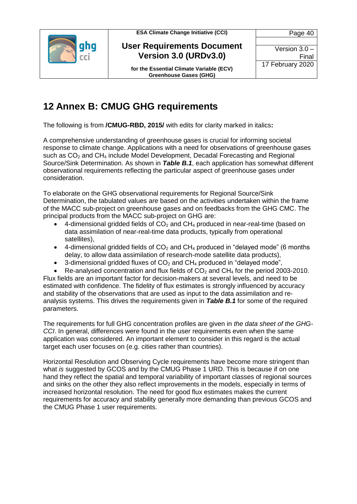



**for the Essential Climate Variable (ECV) Greenhouse Gases (GHG)**

Page 40 Version 3.0 – Final 17 February 2020

### <span id="page-39-0"></span>**12 Annex B: CMUG GHG requirements**

The following is from **/CMUG-RBD, 2015/** with edits for clarity marked in italics**:**

A comprehensive understanding of greenhouse gases is crucial for informing societal response to climate change. Applications with a need for observations of greenhouse gases such as CO<sub>2</sub> and CH<sub>4</sub> include Model Development, Decadal Forecasting and Regional Source/Sink Determination. As shown in *Table B.1*, each application has somewhat different observational requirements reflecting the particular aspect of greenhouse gases under consideration.

To elaborate on the GHG observational requirements for Regional Source/Sink Determination, the tabulated values are based on the activities undertaken within the frame of the MACC sub-project on greenhouse gases and on feedbacks from the GHG CMC. The principal products from the MACC sub-project on GHG are:

- 4-dimensional gridded fields of  $CO<sub>2</sub>$  and  $CH<sub>4</sub>$  produced in near-real-time (based on data assimilation of near-real-time data products, typically from operational satellites),
- 4-dimensional gridded fields of  $CO<sub>2</sub>$  and  $CH<sub>4</sub>$  produced in "delayed mode" (6 months delay, to allow data assimilation of research-mode satellite data products),
- $\bullet$  3-dimensional gridded fluxes of  $CO<sub>2</sub>$  and CH<sub>4</sub> produced in "delayed mode",
- Re-analysed concentration and flux fields of  $CO<sub>2</sub>$  and CH<sub>4</sub> for the period 2003-2010. Flux fields are an important factor for decision-makers at several levels, and need to be estimated with confidence. The fidelity of flux estimates is strongly influenced by accuracy

and stability of the observations that are used as input to the data assimilation and reanalysis systems. This drives the requirements given in *Table B.1* for some of the required parameters.

The requirements for full GHG concentration profiles are given in *the data sheet of the GHG-CCI*. In general, differences were found in the user requirements even when the same application was considered. An important element to consider in this regard is the actual target each user focuses on (e.g. cities rather than countries).

Horizontal Resolution and Observing Cycle requirements have become more stringent than what *is* suggested by GCOS and by the CMUG Phase 1 URD. This is because if on one hand they reflect the spatial and temporal variability of important classes of regional sources and sinks on the other they also reflect improvements in the models, especially in terms of increased horizontal resolution. The need for good flux estimates makes the current requirements for accuracy and stability generally more demanding than previous GCOS and the CMUG Phase 1 user requirements.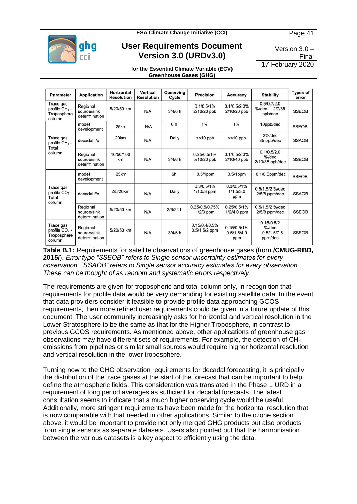

Version 3.0 – Final 17 February 2020

Page 41

**for the Essential Climate Variable (ECV) Greenhouse Gases (GHG)**

| <b>Parameter</b>                                                | <b>Application</b>                       | <b>Horizontal</b><br><b>Resolution</b> | Vertical<br><b>Resolution</b> | <b>Observing</b><br>Cycle | <b>Precision</b>                 | <b>Accuracy</b>                   | <b>Stability</b>                                 | <b>Types of</b><br>error |
|-----------------------------------------------------------------|------------------------------------------|----------------------------------------|-------------------------------|---------------------------|----------------------------------|-----------------------------------|--------------------------------------------------|--------------------------|
| Trace gas<br>profile CH <sub>4</sub> -<br>Troposphere<br>column | Regional<br>source/sink<br>determination | 5/20/50 km                             | N/A                           | $3/4/6$ h                 | 0.1/0.5/1%<br>2/10/20 ppb        | 0.1/0.5/2.0%<br>2/10/20 ppb       | 0.5/0.7/2.0<br>$%$ /dec<br>2/7/35<br>ppb/dec     | <b>SSEOB</b>             |
| Trace gas<br>profile CH <sub>4</sub> -<br>Total<br>column       | model<br>development                     | 25km                                   | N/A                           | 6h                        | 1%                               | 1%                                | 10ppb/dec                                        | <b>SSEOB</b>             |
|                                                                 | decadal f/c                              | 20km                                   | N/A                           | Daily                     | $<< 10$ ppb                      | $<< 10$ ppb                       | $2\%$ /dec<br>35 ppb/dec                         | <b>SSAOB</b>             |
|                                                                 | Regional<br>source/sink<br>determination | 10/50/100<br>km                        | N/A                           | 3/4/6 h                   | 0.25/0.5/1%<br>5/10/20 ppb       | 0.1/0.5/2.0%<br>2/10/40 ppb       | 0.1/0.5/2.0<br>$%$ /dec<br>2/10/35 ppb/dec       | <b>SSEOB</b>             |
| Trace gas<br>profile $CO2$ -<br>Total<br>column                 | model<br>development                     | 25km                                   |                               | 6h                        | $0.5/1$ ppm                      | $0.5/1$ ppm                       | $0.1/0.5$ ppm/dec                                | <b>SSEOB</b>             |
|                                                                 | decadal f/c                              | 2/5/20km                               | N/A                           | Daily                     | 0.3/0.5/1%<br>1/1.5/3 ppm        | 0.3/0.5/1%<br>1/1.5/3.0<br>ppm    | $0.5/1.5/2$ %/dec<br>$2/5/8$ ppm/dec             | <b>SSAOB</b>             |
|                                                                 | Regional<br>source/sink<br>determination | 5/20/50 km                             | N/A                           | 3/6/24 h                  | 0.25/0.5/0.75%<br>$1/2/3$ ppm    | 0.25/0.5/1%<br>$1/2/4.0$ ppm      | 0.5/1.5/2 %/dec<br>$2/5/8$ ppm/dec               | <b>SSEOB</b>             |
| Trace gas<br>profile $CO2$ -<br>Troposphere<br>column           | Regional<br>source/sink<br>determination | 5/20/50 km                             | N/A                           | 3/4/6 h                   | 0.15/0.4/0.5%<br>$0.5/1.5/2$ ppm | 0.15/0.5/1%<br>0.5/1.5/4.0<br>ppm | 0.15/0.5/2<br>$%$ /dec<br>0.5/1.5/7.5<br>ppm/dec | <b>SSEOB</b>             |

**Table B.1:** Requirements for satellite observations of greenhouse gases (from **/CMUG-RBD, 2015/**). *Error type "SSEOB" refers to Single sensor uncertainty estimates for every observation. "SSAOB" refers to Single sensor accuracy estimates for every observation. These can be thought of as random and systematic errors respectively.*

The requirements are given for tropospheric and total column only, in recognition that requirements for profile data would be very demanding for existing satellite data. In the event that data providers consider it feasible to provide profile data approaching GCOS requirements, then more refined user requirements could be given in a future update of this document. The user community increasingly asks for horizontal and vertical resolution in the Lower Stratosphere to be the same as that for the Higher Troposphere, in contrast to previous GCOS requirements. As mentioned above, other applications of greenhouse gas observations may have different sets of requirements. For example, the detection of  $CH_4$ emissions from pipelines or similar small sources would require higher horizontal resolution and vertical resolution in the lower troposphere.

Turning now to the GHG observation requirements for decadal forecasting, it is principally the distribution of the trace gases at the start of the forecast that can be important to help define the atmospheric fields. This consideration was translated in the Phase 1 URD in a requirement of long period averages as sufficient for decadal forecasts. The latest consultation seems to indicate that a much higher observing cycle would be useful. Additionally, more stringent requirements have been made for the horizontal resolution that is now comparable with that needed in other applications. Similar to the ozone section above, it would be important to provide not only merged GHG products but also products from single sensors as separate datasets. Users also pointed out that the harmonisation between the various datasets is a key aspect to efficiently using the data.